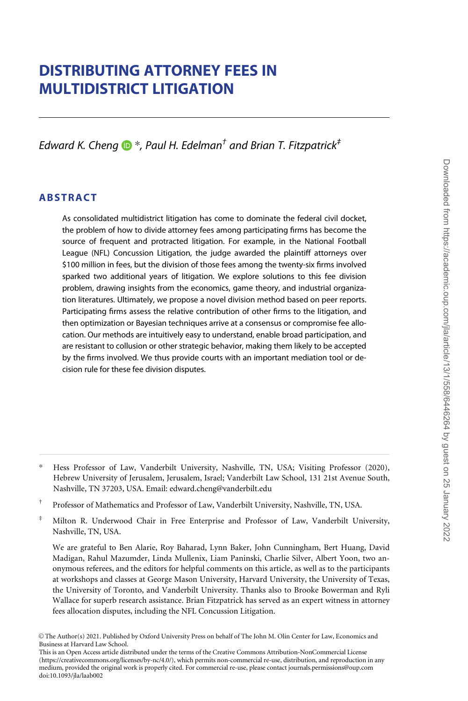# DISTRIBUTING ATTORNEY FEES IN MULTIDISTRICT LITIGATION

Edward K. Cheng  $\mathbf{D}^*$ , Paul H. Edelman<sup>†</sup> and Brian T. Fitzpatrick<sup>‡</sup>

### ABSTRACT

As consolidated multidistrict litigation has come to dominate the federal civil docket, the problem of how to divide attorney fees among participating firms has become the source of frequent and protracted litigation. For example, in the National Football League (NFL) Concussion Litigation, the judge awarded the plaintiff attorneys over \$100 million in fees, but the division of those fees among the twenty-six firms involved sparked two additional years of litigation. We explore solutions to this fee division problem, drawing insights from the economics, game theory, and industrial organization literatures. Ultimately, we propose a novel division method based on peer reports. Participating firms assess the relative contribution of other firms to the litigation, and then optimization or Bayesian techniques arrive at a consensus or compromise fee allocation. Our methods are intuitively easy to understand, enable broad participation, and are resistant to collusion or other strategic behavior, making them likely to be accepted by the firms involved. We thus provide courts with an important mediation tool or decision rule for these fee division disputes.

<sup>\*</sup> Hess Professor of Law, Vanderbilt University, Nashville, TN, USA; Visiting Professor (2020), Hebrew University of Jerusalem, Jerusalem, Israel; Vanderbilt Law School, 131 21st Avenue South, Nashville, TN 37203, USA. Email: edward.cheng@vanderbilt.edu

<sup>†</sup> Professor of Mathematics and Professor of Law, Vanderbilt University, Nashville, TN, USA.

<sup>‡</sup> Milton R. Underwood Chair in Free Enterprise and Professor of Law, Vanderbilt University, Nashville, TN, USA.

We are grateful to Ben Alarie, Roy Baharad, Lynn Baker, John Cunningham, Bert Huang, David Madigan, Rahul Mazumder, Linda Mullenix, Liam Paninski, Charlie Silver, Albert Yoon, two anonymous referees, and the editors for helpful comments on this article, as well as to the participants at workshops and classes at George Mason University, Harvard University, the University of Texas, the University of Toronto, and Vanderbilt University. Thanks also to Brooke Bowerman and Ryli Wallace for superb research assistance. Brian Fitzpatrick has served as an expert witness in attorney fees allocation disputes, including the NFL Concussion Litigation.

V<sup>C</sup> The Author(s) 2021. Published by Oxford University Press on behalf of The John M. Olin Center for Law, Economics and Business at Harvard Law School.

This is an Open Access article distributed under the terms of the Creative Commons Attribution-NonCommercial License (https://creativecommons.org/licenses/by-nc/4.0/), which permits non-commercial re-use, distribution, and reproduction in any medium, provided the original work is properly cited. For commercial re-use, please contact journals.permissions@oup.com doi:10.1093/jla/laab002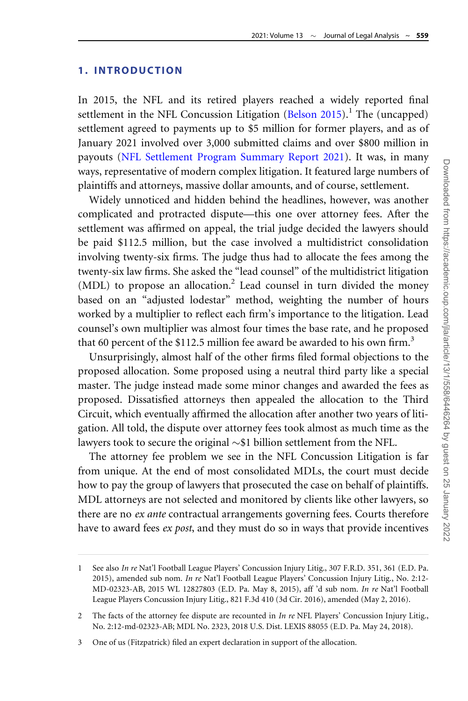### 1. INTRODUCTION

In 2015, the NFL and its retired players reached a widely reported final settlement in the NFL Concussion Litigation  $(Belson\ 2015)$ .<sup>1</sup> The (uncapped) settlement agreed to payments up to \$5 million for former players, and as of January 2021 involved over 3,000 submitted claims and over \$800 million in payouts ([NFL Settlement Program Summary Report 2021\)](#page-35-0). It was, in many ways, representative of modern complex litigation. It featured large numbers of plaintiffs and attorneys, massive dollar amounts, and of course, settlement.

Widely unnoticed and hidden behind the headlines, however, was another complicated and protracted dispute—this one over attorney fees. After the settlement was affirmed on appeal, the trial judge decided the lawyers should be paid \$112.5 million, but the case involved a multidistrict consolidation involving twenty-six firms. The judge thus had to allocate the fees among the twenty-six law firms. She asked the "lead counsel" of the multidistrict litigation  $(MDL)$  to propose an allocation.<sup>2</sup> Lead counsel in turn divided the money based on an "adjusted lodestar" method, weighting the number of hours worked by a multiplier to reflect each firm's importance to the litigation. Lead counsel's own multiplier was almost four times the base rate, and he proposed that 60 percent of the \$112.5 million fee award be awarded to his own firm.<sup>3</sup>

Unsurprisingly, almost half of the other firms filed formal objections to the proposed allocation. Some proposed using a neutral third party like a special master. The judge instead made some minor changes and awarded the fees as proposed. Dissatisfied attorneys then appealed the allocation to the Third Circuit, which eventually affirmed the allocation after another two years of litigation. All told, the dispute over attorney fees took almost as much time as the lawyers took to secure the original  ${\sim} \$1$  billion settlement from the NFL.

The attorney fee problem we see in the NFL Concussion Litigation is far from unique. At the end of most consolidated MDLs, the court must decide how to pay the group of lawyers that prosecuted the case on behalf of plaintiffs. MDL attorneys are not selected and monitored by clients like other lawyers, so there are no ex ante contractual arrangements governing fees. Courts therefore have to award fees ex post, and they must do so in ways that provide incentives

<sup>1</sup> See also In re Nat'l Football League Players' Concussion Injury Litig., 307 F.R.D. 351, 361 (E.D. Pa. 2015), amended sub nom. In re Nat'l Football League Players' Concussion Injury Litig., No. 2:12-MD-02323-AB, 2015 WL 12827803 (E.D. Pa. May 8, 2015), aff 'd sub nom. In re Nat'l Football League Players Concussion Injury Litig., 821 F.3d 410 (3d Cir. 2016), amended (May 2, 2016).

<sup>2</sup> The facts of the attorney fee dispute are recounted in In re NFL Players' Concussion Injury Litig., No. 2:12-md-02323-AB; MDL No. 2323, 2018 U.S. Dist. LEXIS 88055 (E.D. Pa. May 24, 2018).

<sup>3</sup> One of us (Fitzpatrick) filed an expert declaration in support of the allocation.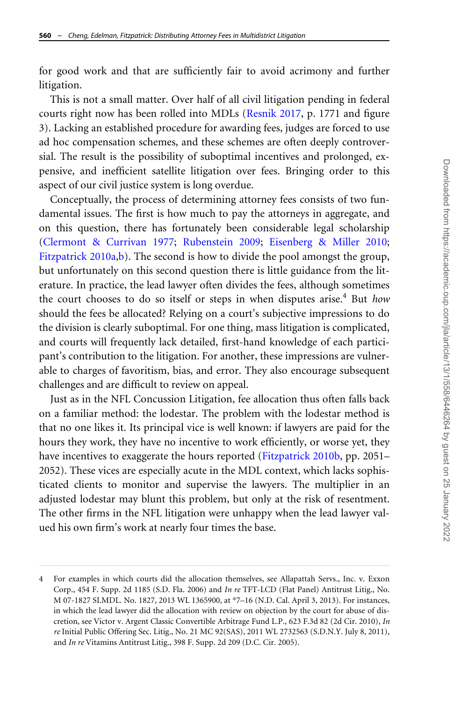for good work and that are sufficiently fair to avoid acrimony and further litigation.

This is not a small matter. Over half of all civil litigation pending in federal courts right now has been rolled into MDLs [\(Resnik 2017,](#page-35-0) p. 1771 and figure 3). Lacking an established procedure for awarding fees, judges are forced to use ad hoc compensation schemes, and these schemes are often deeply controversial. The result is the possibility of suboptimal incentives and prolonged, expensive, and inefficient satellite litigation over fees. Bringing order to this aspect of our civil justice system is long overdue.

Conceptually, the process of determining attorney fees consists of two fundamental issues. The first is how much to pay the attorneys in aggregate, and on this question, there has fortunately been considerable legal scholarship ([Clermont](#page-33-0) & [Currivan 1977;](#page-33-0) [Rubenstein 2009](#page-35-0); [Eisenberg](#page-34-0) & [Miller 2010;](#page-34-0) [Fitzpatrick 2010a,b](#page-34-0)). The second is how to divide the pool amongst the group, but unfortunately on this second question there is little guidance from the literature. In practice, the lead lawyer often divides the fees, although sometimes the court chooses to do so itself or steps in when disputes arise.<sup>4</sup> But how should the fees be allocated? Relying on a court's subjective impressions to do the division is clearly suboptimal. For one thing, mass litigation is complicated, and courts will frequently lack detailed, first-hand knowledge of each participant's contribution to the litigation. For another, these impressions are vulnerable to charges of favoritism, bias, and error. They also encourage subsequent challenges and are difficult to review on appeal.

Just as in the NFL Concussion Litigation, fee allocation thus often falls back on a familiar method: the lodestar. The problem with the lodestar method is that no one likes it. Its principal vice is well known: if lawyers are paid for the hours they work, they have no incentive to work efficiently, or worse yet, they have incentives to exaggerate the hours reported ([Fitzpatrick 2010b](#page-34-0), pp. 2051– 2052). These vices are especially acute in the MDL context, which lacks sophisticated clients to monitor and supervise the lawyers. The multiplier in an adjusted lodestar may blunt this problem, but only at the risk of resentment. The other firms in the NFL litigation were unhappy when the lead lawyer valued his own firm's work at nearly four times the base.

<sup>4</sup> For examples in which courts did the allocation themselves, see Allapattah Servs., Inc. v. Exxon Corp., 454 F. Supp. 2d 1185 (S.D. Fla. 2006) and In re TFT-LCD (Flat Panel) Antitrust Litig., No. M 07-1827 SI.MDL. No. 1827, 2013 WL 1365900, at \*7–16 (N.D. Cal. April 3, 2013). For instances, in which the lead lawyer did the allocation with review on objection by the court for abuse of discretion, see Victor v. Argent Classic Convertible Arbitrage Fund L.P., 623 F.3d 82 (2d Cir. 2010), In re Initial Public Offering Sec. Litig., No. 21 MC 92(SAS), 2011 WL 2732563 (S.D.N.Y. July 8, 2011), and In re Vitamins Antitrust Litig., 398 F. Supp. 2d 209 (D.C. Cir. 2005).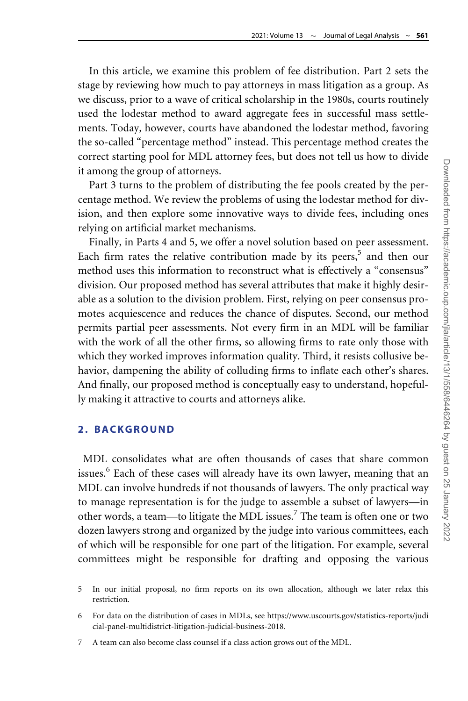In this article, we examine this problem of fee distribution. Part 2 sets the stage by reviewing how much to pay attorneys in mass litigation as a group. As we discuss, prior to a wave of critical scholarship in the 1980s, courts routinely used the lodestar method to award aggregate fees in successful mass settlements. Today, however, courts have abandoned the lodestar method, favoring the so-called "percentage method" instead. This percentage method creates the correct starting pool for MDL attorney fees, but does not tell us how to divide it among the group of attorneys.

Part 3 turns to the problem of distributing the fee pools created by the percentage method. We review the problems of using the lodestar method for division, and then explore some innovative ways to divide fees, including ones relying on artificial market mechanisms.

Finally, in Parts 4 and 5, we offer a novel solution based on peer assessment. Each firm rates the relative contribution made by its peers, $5$  and then our method uses this information to reconstruct what is effectively a "consensus" division. Our proposed method has several attributes that make it highly desirable as a solution to the division problem. First, relying on peer consensus promotes acquiescence and reduces the chance of disputes. Second, our method permits partial peer assessments. Not every firm in an MDL will be familiar with the work of all the other firms, so allowing firms to rate only those with which they worked improves information quality. Third, it resists collusive behavior, dampening the ability of colluding firms to inflate each other's shares. And finally, our proposed method is conceptually easy to understand, hopefully making it attractive to courts and attorneys alike.

# 2. BACKGROUND

MDL consolidates what are often thousands of cases that share common issues.<sup>6</sup> Each of these cases will already have its own lawyer, meaning that an MDL can involve hundreds if not thousands of lawyers. The only practical way to manage representation is for the judge to assemble a subset of lawyers—in other words, a team—to litigate the MDL issues.7 The team is often one or two dozen lawyers strong and organized by the judge into various committees, each of which will be responsible for one part of the litigation. For example, several committees might be responsible for drafting and opposing the various

<sup>5</sup> In our initial proposal, no firm reports on its own allocation, although we later relax this restriction.

<sup>6</sup> For data on the distribution of cases in MDLs, see [https://www.uscourts.gov/statistics-reports/judi](https://www.uscourts.gov/statistics-reports/judicial-panel-multidistrict-litigation-judicial-business-2018) [cial-panel-multidistrict-litigation-judicial-business-2018](https://www.uscourts.gov/statistics-reports/judicial-panel-multidistrict-litigation-judicial-business-2018).

<sup>7</sup> A team can also become class counsel if a class action grows out of the MDL.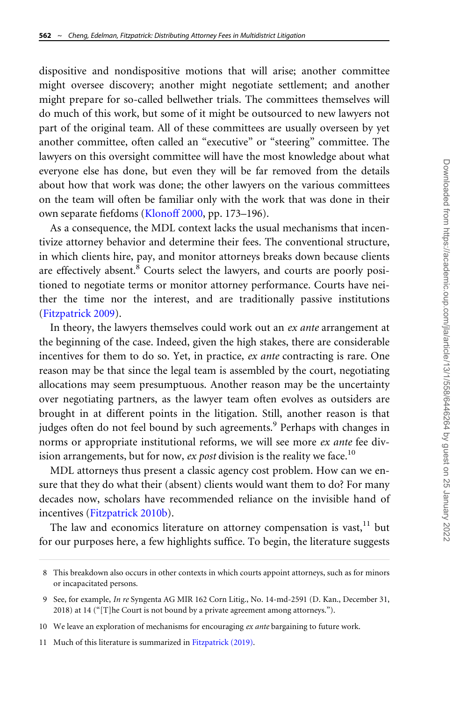dispositive and nondispositive motions that will arise; another committee might oversee discovery; another might negotiate settlement; and another might prepare for so-called bellwether trials. The committees themselves will do much of this work, but some of it might be outsourced to new lawyers not part of the original team. All of these committees are usually overseen by yet another committee, often called an "executive" or "steering" committee. The lawyers on this oversight committee will have the most knowledge about what everyone else has done, but even they will be far removed from the details about how that work was done; the other lawyers on the various committees on the team will often be familiar only with the work that was done in their own separate fiefdoms [\(Klonoff 2000,](#page-35-0) pp. 173–196).

As a consequence, the MDL context lacks the usual mechanisms that incentivize attorney behavior and determine their fees. The conventional structure, in which clients hire, pay, and monitor attorneys breaks down because clients are effectively absent.<sup>8</sup> Courts select the lawyers, and courts are poorly positioned to negotiate terms or monitor attorney performance. Courts have neither the time nor the interest, and are traditionally passive institutions ([Fitzpatrick 2009\)](#page-34-0).

In theory, the lawyers themselves could work out an ex ante arrangement at the beginning of the case. Indeed, given the high stakes, there are considerable incentives for them to do so. Yet, in practice, ex ante contracting is rare. One reason may be that since the legal team is assembled by the court, negotiating allocations may seem presumptuous. Another reason may be the uncertainty over negotiating partners, as the lawyer team often evolves as outsiders are brought in at different points in the litigation. Still, another reason is that judges often do not feel bound by such agreements.<sup>9</sup> Perhaps with changes in norms or appropriate institutional reforms, we will see more ex ante fee division arrangements, but for now, ex post division is the reality we face.<sup>10</sup>

MDL attorneys thus present a classic agency cost problem. How can we ensure that they do what their (absent) clients would want them to do? For many decades now, scholars have recommended reliance on the invisible hand of incentives [\(Fitzpatrick 2010b](#page-34-0)).

The law and economics literature on attorney compensation is vast,  $11$  but for our purposes here, a few highlights suffice. To begin, the literature suggests

- 10 We leave an exploration of mechanisms for encouraging ex ante bargaining to future work.
- 11 Much of this literature is summarized in [Fitzpatrick \(2019\)](#page-34-0).

<sup>8</sup> This breakdown also occurs in other contexts in which courts appoint attorneys, such as for minors or incapacitated persons.

<sup>9</sup> See, for example, In re Syngenta AG MIR 162 Corn Litig., No. 14-md-2591 (D. Kan., December 31, 2018) at 14 ("[T]he Court is not bound by a private agreement among attorneys.").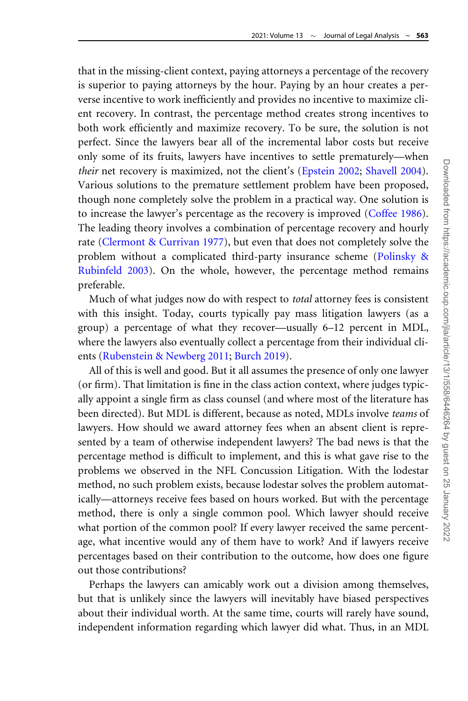that in the missing-client context, paying attorneys a percentage of the recovery is superior to paying attorneys by the hour. Paying by an hour creates a perverse incentive to work inefficiently and provides no incentive to maximize client recovery. In contrast, the percentage method creates strong incentives to both work efficiently and maximize recovery. To be sure, the solution is not perfect. Since the lawyers bear all of the incremental labor costs but receive only some of its fruits, lawyers have incentives to settle prematurely—when their net recovery is maximized, not the client's [\(Epstein 2002;](#page-34-0) [Shavell 2004\)](#page-36-0). Various solutions to the premature settlement problem have been proposed, though none completely solve the problem in a practical way. One solution is to increase the lawyer's percentage as the recovery is improved [\(Coffee 1986\)](#page-33-0). The leading theory involves a combination of percentage recovery and hourly rate ([Clermont](#page-33-0) & [Currivan 1977\)](#page-33-0), but even that does not completely solve the problem without a complicated third-party insurance scheme ([Polinsky](#page-35-0) & [Rubinfeld 2003\)](#page-35-0). On the whole, however, the percentage method remains preferable.

Much of what judges now do with respect to total attorney fees is consistent with this insight. Today, courts typically pay mass litigation lawyers (as a group) a percentage of what they recover—usually 6–12 percent in MDL, where the lawyers also eventually collect a percentage from their individual clients [\(Rubenstein & Newberg 2011;](#page-35-0) [Burch 2019\)](#page-33-0).

All of this is well and good. But it all assumes the presence of only one lawyer (or firm). That limitation is fine in the class action context, where judges typically appoint a single firm as class counsel (and where most of the literature has been directed). But MDL is different, because as noted, MDLs involve teams of lawyers. How should we award attorney fees when an absent client is represented by a team of otherwise independent lawyers? The bad news is that the percentage method is difficult to implement, and this is what gave rise to the problems we observed in the NFL Concussion Litigation. With the lodestar method, no such problem exists, because lodestar solves the problem automatically—attorneys receive fees based on hours worked. But with the percentage method, there is only a single common pool. Which lawyer should receive what portion of the common pool? If every lawyer received the same percentage, what incentive would any of them have to work? And if lawyers receive percentages based on their contribution to the outcome, how does one figure out those contributions?

Perhaps the lawyers can amicably work out a division among themselves, but that is unlikely since the lawyers will inevitably have biased perspectives about their individual worth. At the same time, courts will rarely have sound, independent information regarding which lawyer did what. Thus, in an MDL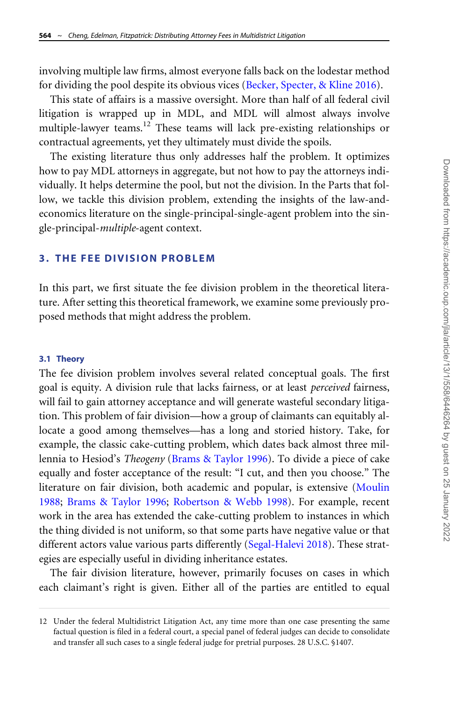involving multiple law firms, almost everyone falls back on the lodestar method for dividing the pool despite its obvious vices ([Becker, Specter,](#page-33-0) & [Kline 2016\)](#page-33-0).

This state of affairs is a massive oversight. More than half of all federal civil litigation is wrapped up in MDL, and MDL will almost always involve multiple-lawyer teams.<sup>12</sup> These teams will lack pre-existing relationships or contractual agreements, yet they ultimately must divide the spoils.

The existing literature thus only addresses half the problem. It optimizes how to pay MDL attorneys in aggregate, but not how to pay the attorneys individually. It helps determine the pool, but not the division. In the Parts that follow, we tackle this division problem, extending the insights of the law-andeconomics literature on the single-principal-single-agent problem into the single-principal-multiple-agent context.

### 3. THE FEE DIVISION PROBLEM

In this part, we first situate the fee division problem in the theoretical literature. After setting this theoretical framework, we examine some previously proposed methods that might address the problem.

#### 3.1 Theory

The fee division problem involves several related conceptual goals. The first goal is equity. A division rule that lacks fairness, or at least perceived fairness, will fail to gain attorney acceptance and will generate wasteful secondary litigation. This problem of fair division—how a group of claimants can equitably allocate a good among themselves—has a long and storied history. Take, for example, the classic cake-cutting problem, which dates back almost three millennia to Hesiod's Theogeny [\(Brams](#page-33-0) & [Taylor 1996](#page-33-0)). To divide a piece of cake equally and foster acceptance of the result: "I cut, and then you choose." The literature on fair division, both academic and popular, is extensive ([Moulin](#page-35-0) [1988;](#page-35-0) [Brams](#page-33-0) & [Taylor 1996](#page-33-0); [Robertson & Webb 1998\)](#page-35-0). For example, recent work in the area has extended the cake-cutting problem to instances in which the thing divided is not uniform, so that some parts have negative value or that different actors value various parts differently ([Segal-Halevi 2018](#page-36-0)). These strategies are especially useful in dividing inheritance estates.

The fair division literature, however, primarily focuses on cases in which each claimant's right is given. Either all of the parties are entitled to equal

<sup>12</sup> Under the federal Multidistrict Litigation Act, any time more than one case presenting the same factual question is filed in a federal court, a special panel of federal judges can decide to consolidate and transfer all such cases to a single federal judge for pretrial purposes. 28 U.S.C. §1407.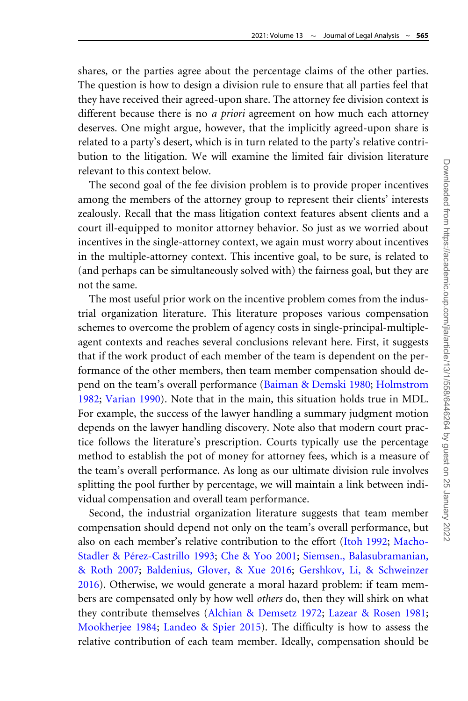shares, or the parties agree about the percentage claims of the other parties. The question is how to design a division rule to ensure that all parties feel that they have received their agreed-upon share. The attorney fee division context is different because there is no *a priori* agreement on how much each attorney deserves. One might argue, however, that the implicitly agreed-upon share is related to a party's desert, which is in turn related to the party's relative contribution to the litigation. We will examine the limited fair division literature relevant to this context below.

The second goal of the fee division problem is to provide proper incentives among the members of the attorney group to represent their clients' interests zealously. Recall that the mass litigation context features absent clients and a court ill-equipped to monitor attorney behavior. So just as we worried about incentives in the single-attorney context, we again must worry about incentives in the multiple-attorney context. This incentive goal, to be sure, is related to (and perhaps can be simultaneously solved with) the fairness goal, but they are not the same.

The most useful prior work on the incentive problem comes from the industrial organization literature. This literature proposes various compensation schemes to overcome the problem of agency costs in single-principal-multipleagent contexts and reaches several conclusions relevant here. First, it suggests that if the work product of each member of the team is dependent on the performance of the other members, then team member compensation should depend on the team's overall performance ([Baiman & Demski 1980](#page-33-0); [Holmstrom](#page-34-0) [1982;](#page-34-0) [Varian 1990\)](#page-36-0). Note that in the main, this situation holds true in MDL. For example, the success of the lawyer handling a summary judgment motion depends on the lawyer handling discovery. Note also that modern court practice follows the literature's prescription. Courts typically use the percentage method to establish the pot of money for attorney fees, which is a measure of the team's overall performance. As long as our ultimate division rule involves splitting the pool further by percentage, we will maintain a link between individual compensation and overall team performance.

Second, the industrial organization literature suggests that team member compensation should depend not only on the team's overall performance, but also on each member's relative contribution to the effort [\(Itoh 1992](#page-34-0); [Macho-](#page-35-0)[Stadler](#page-35-0) & Pérez-Castrillo 1993; [Che](#page-33-0) & [Yoo 2001;](#page-33-0) [Siemsen., Balasubramanian,](#page-36-0) [& Roth 2007](#page-36-0); [Baldenius, Glover,](#page-33-0) & [Xue 2016;](#page-33-0) [Gershkov, Li, & Schweinzer](#page-34-0) [2016\)](#page-34-0). Otherwise, we would generate a moral hazard problem: if team members are compensated only by how well others do, then they will shirk on what they contribute themselves ([Alchian](#page-32-0) [& Demsetz 1972](#page-32-0); [Lazear & Rosen 1981;](#page-35-0) [Mookherjee 1984](#page-35-0); [Landeo & Spier 2015\)](#page-35-0). The difficulty is how to assess the relative contribution of each team member. Ideally, compensation should be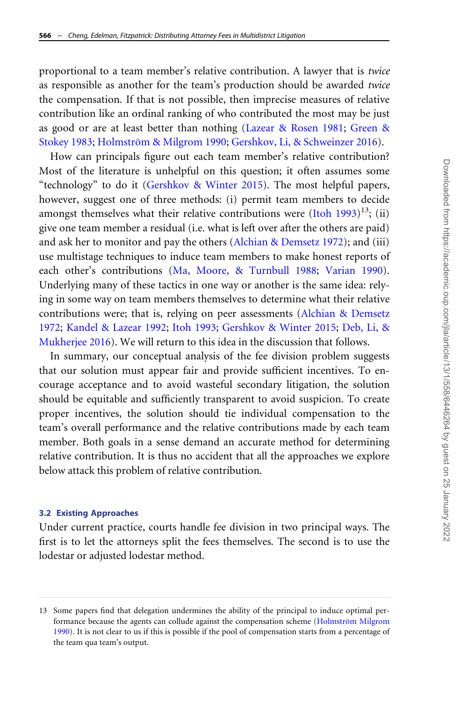proportional to a team member's relative contribution. A lawyer that is twice as responsible as another for the team's production should be awarded twice the compensation. If that is not possible, then imprecise measures of relative contribution like an ordinal ranking of who contributed the most may be just as good or are at least better than nothing [\(Lazear & Rosen 1981;](#page-35-0) [Green](#page-34-0) & [Stokey 1983](#page-34-0); Holmström & [Milgrom 1990](#page-34-0); [Gershkov, Li,](#page-34-0) & [Schweinzer 2016\)](#page-34-0).

How can principals figure out each team member's relative contribution? Most of the literature is unhelpful on this question; it often assumes some "technology" to do it ([Gershkov](#page-34-0) [& Winter 2015\)](#page-34-0). The most helpful papers, however, suggest one of three methods: (i) permit team members to decide amongst themselves what their relative contributions were ([Itoh 1993](#page-35-0)) $^{13}$ ; (ii) give one team member a residual (i.e. what is left over after the others are paid) and ask her to monitor and pay the others ([Alchian & Demsetz 1972\)](#page-32-0); and (iii) use multistage techniques to induce team members to make honest reports of each other's contributions [\(Ma, Moore, & Turnbull 1988](#page-35-0); [Varian 1990](#page-36-0)). Underlying many of these tactics in one way or another is the same idea: relying in some way on team members themselves to determine what their relative contributions were; that is, relying on peer assessments ([Alchian](#page-32-0) [& Demsetz](#page-32-0) [1972;](#page-32-0) [Kandel & Lazear 1992](#page-35-0); [Itoh 1993](#page-35-0); [Gershkov & Winter 2015;](#page-34-0) [Deb, Li,](#page-34-0) & [Mukherjee 2016\)](#page-34-0). We will return to this idea in the discussion that follows.

In summary, our conceptual analysis of the fee division problem suggests that our solution must appear fair and provide sufficient incentives. To encourage acceptance and to avoid wasteful secondary litigation, the solution should be equitable and sufficiently transparent to avoid suspicion. To create proper incentives, the solution should tie individual compensation to the team's overall performance and the relative contributions made by each team member. Both goals in a sense demand an accurate method for determining relative contribution. It is thus no accident that all the approaches we explore below attack this problem of relative contribution.

#### 3.2 Existing Approaches

Under current practice, courts handle fee division in two principal ways. The first is to let the attorneys split the fees themselves. The second is to use the lodestar or adjusted lodestar method.

<sup>13</sup> Some papers find that delegation undermines the ability of the principal to induce optimal performance because the agents can collude against the compensation scheme (Holmström Milgrom [1990\)](#page-34-0). It is not clear to us if this is possible if the pool of compensation starts from a percentage of the team qua team's output.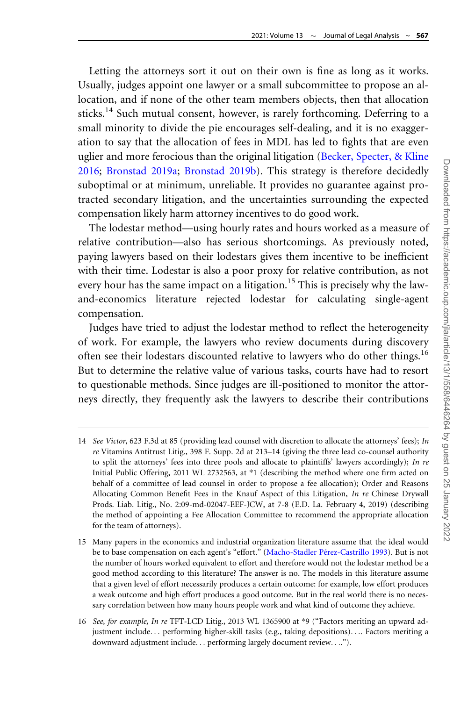Letting the attorneys sort it out on their own is fine as long as it works. Usually, judges appoint one lawyer or a small subcommittee to propose an allocation, and if none of the other team members objects, then that allocation sticks.<sup>14</sup> Such mutual consent, however, is rarely forthcoming. Deferring to a small minority to divide the pie encourages self-dealing, and it is no exaggeration to say that the allocation of fees in MDL has led to fights that are even uglier and more ferocious than the original litigation ([Becker, Specter, & Kline](#page-33-0) [2016;](#page-33-0) [Bronstad 2019a;](#page-33-0) [Bronstad 2019b](#page-33-0)). This strategy is therefore decidedly suboptimal or at minimum, unreliable. It provides no guarantee against protracted secondary litigation, and the uncertainties surrounding the expected compensation likely harm attorney incentives to do good work.

The lodestar method—using hourly rates and hours worked as a measure of relative contribution—also has serious shortcomings. As previously noted, paying lawyers based on their lodestars gives them incentive to be inefficient with their time. Lodestar is also a poor proxy for relative contribution, as not every hour has the same impact on a litigation.<sup>15</sup> This is precisely why the lawand-economics literature rejected lodestar for calculating single-agent compensation.

Judges have tried to adjust the lodestar method to reflect the heterogeneity of work. For example, the lawyers who review documents during discovery often see their lodestars discounted relative to lawyers who do other things.<sup>16</sup> But to determine the relative value of various tasks, courts have had to resort to questionable methods. Since judges are ill-positioned to monitor the attorneys directly, they frequently ask the lawyers to describe their contributions

<sup>14</sup> See Victor, 623 F.3d at 85 (providing lead counsel with discretion to allocate the attorneys' fees); In re Vitamins Antitrust Litig., 398 F. Supp. 2d at 213–14 (giving the three lead co-counsel authority to split the attorneys' fees into three pools and allocate to plaintiffs' lawyers accordingly); In re Initial Public Offering, 2011 WL 2732563, at \*1 (describing the method where one firm acted on behalf of a committee of lead counsel in order to propose a fee allocation); Order and Reasons Allocating Common Benefit Fees in the Knauf Aspect of this Litigation, In re Chinese Drywall Prods. Liab. Litig., No. 2:09-md-02047-EEF-JCW, at 7-8 (E.D. La. February 4, 2019) (describing the method of appointing a Fee Allocation Committee to recommend the appropriate allocation for the team of attorneys).

<sup>15</sup> Many papers in the economics and industrial organization literature assume that the ideal would be to base compensation on each agent's "effort." (Macho-Stadler Pérez-Castrillo 1993). But is not the number of hours worked equivalent to effort and therefore would not the lodestar method be a good method according to this literature? The answer is no. The models in this literature assume that a given level of effort necessarily produces a certain outcome: for example, low effort produces a weak outcome and high effort produces a good outcome. But in the real world there is no necessary correlation between how many hours people work and what kind of outcome they achieve.

<sup>16</sup> See, for example, In re TFT-LCD Litig., 2013 WL 1365900 at \*9 ("Factors meriting an upward adjustment include... performing higher-skill tasks (e.g., taking depositions).... Factors meriting a downward adjustment include... performing largely document review....").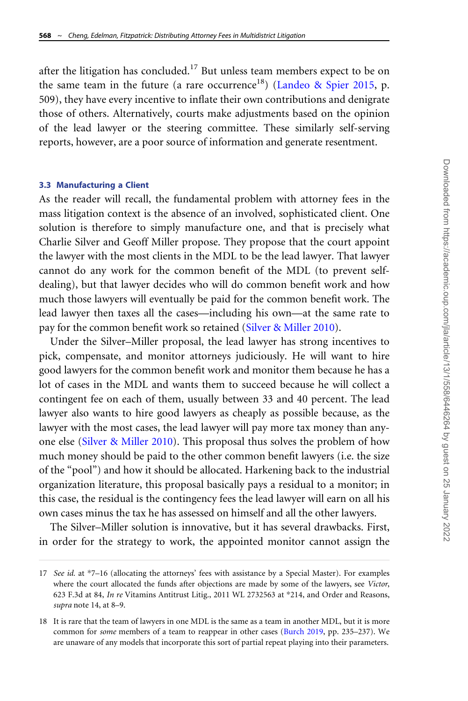after the litigation has concluded.<sup>17</sup> But unless team members expect to be on the same team in the future (a rare occurrence<sup>18</sup>) ([Landeo](#page-35-0) [& Spier 2015,](#page-35-0) p. 509), they have every incentive to inflate their own contributions and denigrate those of others. Alternatively, courts make adjustments based on the opinion of the lead lawyer or the steering committee. These similarly self-serving reports, however, are a poor source of information and generate resentment.

#### 3.3 Manufacturing a Client

As the reader will recall, the fundamental problem with attorney fees in the mass litigation context is the absence of an involved, sophisticated client. One solution is therefore to simply manufacture one, and that is precisely what Charlie Silver and Geoff Miller propose. They propose that the court appoint the lawyer with the most clients in the MDL to be the lead lawyer. That lawyer cannot do any work for the common benefit of the MDL (to prevent selfdealing), but that lawyer decides who will do common benefit work and how much those lawyers will eventually be paid for the common benefit work. The lead lawyer then taxes all the cases—including his own—at the same rate to pay for the common benefit work so retained ([Silver & Miller 2010](#page-36-0)).

Under the Silver–Miller proposal, the lead lawyer has strong incentives to pick, compensate, and monitor attorneys judiciously. He will want to hire good lawyers for the common benefit work and monitor them because he has a lot of cases in the MDL and wants them to succeed because he will collect a contingent fee on each of them, usually between 33 and 40 percent. The lead lawyer also wants to hire good lawyers as cheaply as possible because, as the lawyer with the most cases, the lead lawyer will pay more tax money than anyone else ([Silver](#page-36-0) [& Miller 2010](#page-36-0)). This proposal thus solves the problem of how much money should be paid to the other common benefit lawyers (i.e. the size of the "pool") and how it should be allocated. Harkening back to the industrial organization literature, this proposal basically pays a residual to a monitor; in this case, the residual is the contingency fees the lead lawyer will earn on all his own cases minus the tax he has assessed on himself and all the other lawyers.

The Silver–Miller solution is innovative, but it has several drawbacks. First, in order for the strategy to work, the appointed monitor cannot assign the

<sup>17</sup> See id. at \*7-16 (allocating the attorneys' fees with assistance by a Special Master). For examples where the court allocated the funds after objections are made by some of the lawyers, see Victor, 623 F.3d at 84, In re Vitamins Antitrust Litig., 2011 WL 2732563 at \*214, and Order and Reasons, supra note 14, at 8–9.

<sup>18</sup> It is rare that the team of lawyers in one MDL is the same as a team in another MDL, but it is more common for *some* members of a team to reappear in other cases [\(Burch 2019,](#page-33-0) pp. 235–237). We are unaware of any models that incorporate this sort of partial repeat playing into their parameters.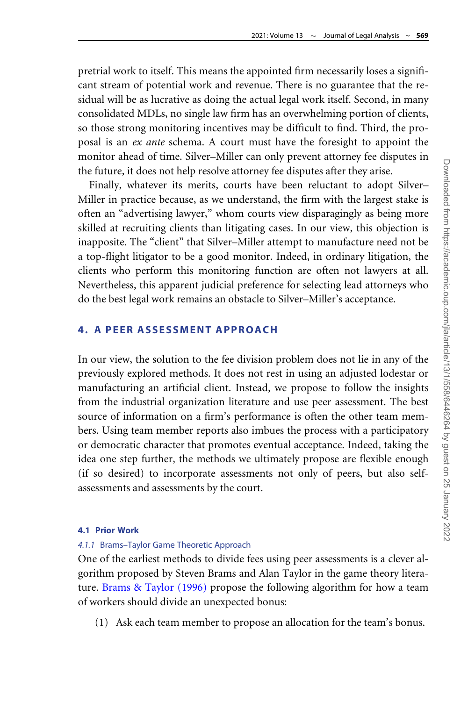pretrial work to itself. This means the appointed firm necessarily loses a significant stream of potential work and revenue. There is no guarantee that the residual will be as lucrative as doing the actual legal work itself. Second, in many consolidated MDLs, no single law firm has an overwhelming portion of clients, so those strong monitoring incentives may be difficult to find. Third, the proposal is an ex ante schema. A court must have the foresight to appoint the monitor ahead of time. Silver–Miller can only prevent attorney fee disputes in the future, it does not help resolve attorney fee disputes after they arise.

Finally, whatever its merits, courts have been reluctant to adopt Silver– Miller in practice because, as we understand, the firm with the largest stake is often an "advertising lawyer," whom courts view disparagingly as being more skilled at recruiting clients than litigating cases. In our view, this objection is inapposite. The "client" that Silver–Miller attempt to manufacture need not be a top-flight litigator to be a good monitor. Indeed, in ordinary litigation, the clients who perform this monitoring function are often not lawyers at all. Nevertheless, this apparent judicial preference for selecting lead attorneys who do the best legal work remains an obstacle to Silver–Miller's acceptance.

### 4. A PEER ASSESSMENT APPROACH

In our view, the solution to the fee division problem does not lie in any of the previously explored methods. It does not rest in using an adjusted lodestar or manufacturing an artificial client. Instead, we propose to follow the insights from the industrial organization literature and use peer assessment. The best source of information on a firm's performance is often the other team members. Using team member reports also imbues the process with a participatory or democratic character that promotes eventual acceptance. Indeed, taking the idea one step further, the methods we ultimately propose are flexible enough (if so desired) to incorporate assessments not only of peers, but also selfassessments and assessments by the court.

### 4.1 Prior Work

### 4.1.1 Brams–Taylor Game Theoretic Approach

One of the earliest methods to divide fees using peer assessments is a clever algorithm proposed by Steven Brams and Alan Taylor in the game theory literature. [Brams & Taylor \(1996\)](#page-33-0) propose the following algorithm for how a team of workers should divide an unexpected bonus:

(1) Ask each team member to propose an allocation for the team's bonus.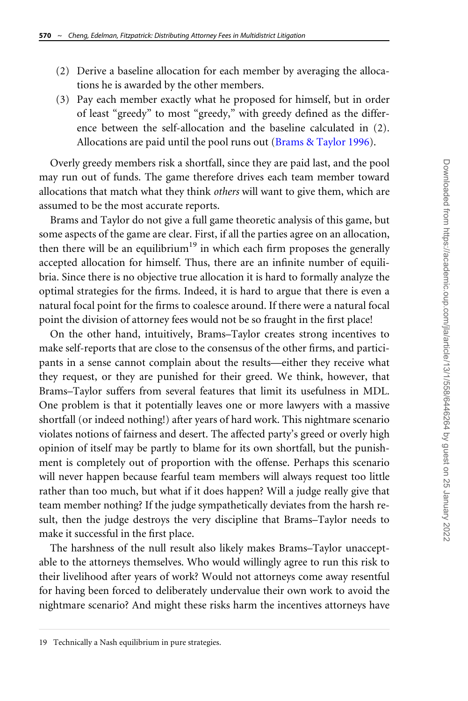- (2) Derive a baseline allocation for each member by averaging the allocations he is awarded by the other members.
- (3) Pay each member exactly what he proposed for himself, but in order of least "greedy" to most "greedy," with greedy defined as the difference between the self-allocation and the baseline calculated in (2). Allocations are paid until the pool runs out [\(Brams & Taylor 1996](#page-33-0)).

Overly greedy members risk a shortfall, since they are paid last, and the pool may run out of funds. The game therefore drives each team member toward allocations that match what they think others will want to give them, which are assumed to be the most accurate reports.

Brams and Taylor do not give a full game theoretic analysis of this game, but some aspects of the game are clear. First, if all the parties agree on an allocation, then there will be an equilibrium<sup>19</sup> in which each firm proposes the generally accepted allocation for himself. Thus, there are an infinite number of equilibria. Since there is no objective true allocation it is hard to formally analyze the optimal strategies for the firms. Indeed, it is hard to argue that there is even a natural focal point for the firms to coalesce around. If there were a natural focal point the division of attorney fees would not be so fraught in the first place!

On the other hand, intuitively, Brams–Taylor creates strong incentives to make self-reports that are close to the consensus of the other firms, and participants in a sense cannot complain about the results—either they receive what they request, or they are punished for their greed. We think, however, that Brams–Taylor suffers from several features that limit its usefulness in MDL. One problem is that it potentially leaves one or more lawyers with a massive shortfall (or indeed nothing!) after years of hard work. This nightmare scenario violates notions of fairness and desert. The affected party's greed or overly high opinion of itself may be partly to blame for its own shortfall, but the punishment is completely out of proportion with the offense. Perhaps this scenario will never happen because fearful team members will always request too little rather than too much, but what if it does happen? Will a judge really give that team member nothing? If the judge sympathetically deviates from the harsh result, then the judge destroys the very discipline that Brams–Taylor needs to make it successful in the first place.

The harshness of the null result also likely makes Brams–Taylor unacceptable to the attorneys themselves. Who would willingly agree to run this risk to their livelihood after years of work? Would not attorneys come away resentful for having been forced to deliberately undervalue their own work to avoid the nightmare scenario? And might these risks harm the incentives attorneys have

<sup>19</sup> Technically a Nash equilibrium in pure strategies.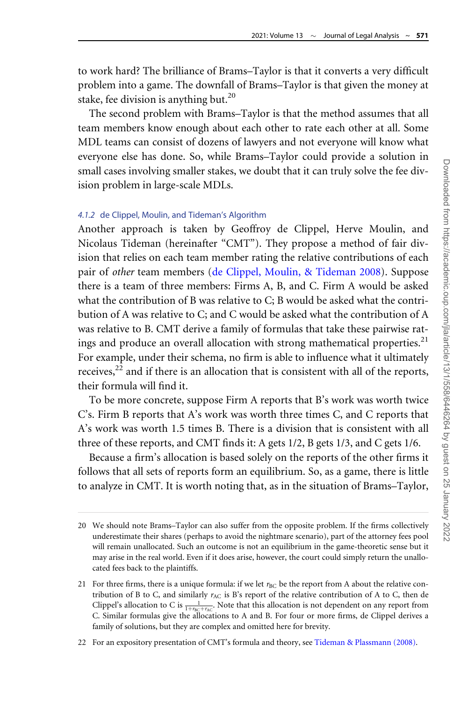to work hard? The brilliance of Brams–Taylor is that it converts a very difficult problem into a game. The downfall of Brams–Taylor is that given the money at stake, fee division is anything but.<sup>20</sup>

The second problem with Brams–Taylor is that the method assumes that all team members know enough about each other to rate each other at all. Some MDL teams can consist of dozens of lawyers and not everyone will know what everyone else has done. So, while Brams–Taylor could provide a solution in small cases involving smaller stakes, we doubt that it can truly solve the fee division problem in large-scale MDLs.

### 4.1.2 de Clippel, Moulin, and Tideman's Algorithm

Another approach is taken by Geoffroy de Clippel, Herve Moulin, and Nicolaus Tideman (hereinafter "CMT"). They propose a method of fair division that relies on each team member rating the relative contributions of each pair of other team members ([de Clippel, Moulin, & Tideman 2008](#page-33-0)). Suppose there is a team of three members: Firms A, B, and C. Firm A would be asked what the contribution of B was relative to C; B would be asked what the contribution of A was relative to C; and C would be asked what the contribution of A was relative to B. CMT derive a family of formulas that take these pairwise ratings and produce an overall allocation with strong mathematical properties.<sup>21</sup> For example, under their schema, no firm is able to influence what it ultimately receives, $^{22}$  and if there is an allocation that is consistent with all of the reports, their formula will find it.

To be more concrete, suppose Firm A reports that B's work was worth twice C's. Firm B reports that A's work was worth three times C, and C reports that A's work was worth 1.5 times B. There is a division that is consistent with all three of these reports, and CMT finds it: A gets 1/2, B gets 1/3, and C gets 1/6.

Because a firm's allocation is based solely on the reports of the other firms it follows that all sets of reports form an equilibrium. So, as a game, there is little to analyze in CMT. It is worth noting that, as in the situation of Brams–Taylor,

22 For an expository presentation of CMT's formula and theory, see [Tideman](#page-36-0) & [Plassmann \(2008\)](#page-36-0).

<sup>20</sup> We should note Brams–Taylor can also suffer from the opposite problem. If the firms collectively underestimate their shares (perhaps to avoid the nightmare scenario), part of the attorney fees pool will remain unallocated. Such an outcome is not an equilibrium in the game-theoretic sense but it may arise in the real world. Even if it does arise, however, the court could simply return the unallocated fees back to the plaintiffs.

<sup>21</sup> For three firms, there is a unique formula: if we let  $r_{BC}$  be the report from A about the relative contribution of B to C, and similarly  $r_{AC}$  is B's report of the relative contribution of A to C, then de Clippel's allocation to C is  $\frac{1}{1+r_{BC}+r_{AC}}$ . Note that this allocation is not dependent on any report from C. Similar formulas give the allocations to A and B. For four or more firms, de Clippel derives a family of solutions, but they are complex and omitted here for brevity.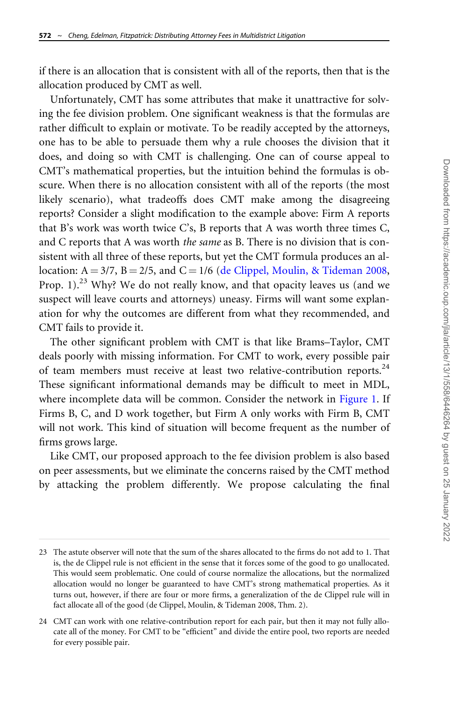if there is an allocation that is consistent with all of the reports, then that is the allocation produced by CMT as well.

Unfortunately, CMT has some attributes that make it unattractive for solving the fee division problem. One significant weakness is that the formulas are rather difficult to explain or motivate. To be readily accepted by the attorneys, one has to be able to persuade them why a rule chooses the division that it does, and doing so with CMT is challenging. One can of course appeal to CMT's mathematical properties, but the intuition behind the formulas is obscure. When there is no allocation consistent with all of the reports (the most likely scenario), what tradeoffs does CMT make among the disagreeing reports? Consider a slight modification to the example above: Firm A reports that B's work was worth twice C's, B reports that A was worth three times C, and C reports that A was worth *the same* as B. There is no division that is consistent with all three of these reports, but yet the CMT formula produces an allocation:  $A = 3/7$ ,  $B = 2/5$ , and  $C = 1/6$  [\(de Clippel, Moulin, & Tideman 2008](#page-33-0), Prop. 1).<sup>23</sup> Why? We do not really know, and that opacity leaves us (and we suspect will leave courts and attorneys) uneasy. Firms will want some explanation for why the outcomes are different from what they recommended, and CMT fails to provide it.

The other significant problem with CMT is that like Brams–Taylor, CMT deals poorly with missing information. For CMT to work, every possible pair of team members must receive at least two relative-contribution reports.<sup>24</sup> These significant informational demands may be difficult to meet in MDL, where incomplete data will be common. Consider the network in [Figure 1](#page-15-0). If Firms B, C, and D work together, but Firm A only works with Firm B, CMT will not work. This kind of situation will become frequent as the number of firms grows large.

Like CMT, our proposed approach to the fee division problem is also based on peer assessments, but we eliminate the concerns raised by the CMT method by attacking the problem differently. We propose calculating the final

<sup>23</sup> The astute observer will note that the sum of the shares allocated to the firms do not add to 1. That is, the de Clippel rule is not efficient in the sense that it forces some of the good to go unallocated. This would seem problematic. One could of course normalize the allocations, but the normalized allocation would no longer be guaranteed to have CMT's strong mathematical properties. As it turns out, however, if there are four or more firms, a generalization of the de Clippel rule will in fact allocate all of the good (de Clippel, Moulin, & Tideman 2008, Thm. 2).

<sup>24</sup> CMT can work with one relative-contribution report for each pair, but then it may not fully allocate all of the money. For CMT to be "efficient" and divide the entire pool, two reports are needed for every possible pair.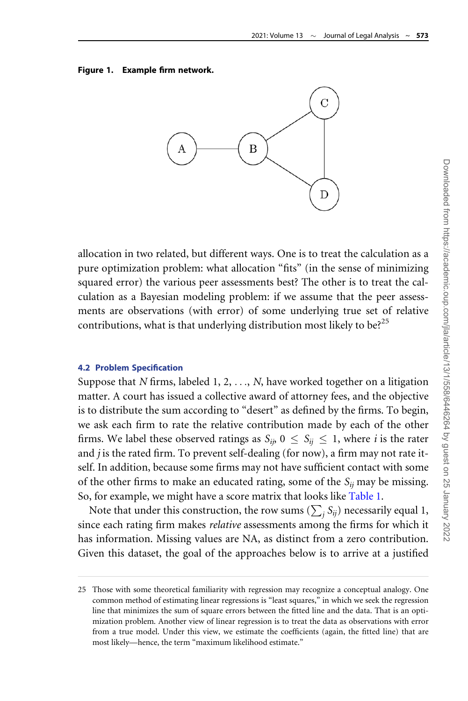#### <span id="page-15-0"></span>Figure 1. Example firm network.



allocation in two related, but different ways. One is to treat the calculation as a pure optimization problem: what allocation "fits" (in the sense of minimizing squared error) the various peer assessments best? The other is to treat the calculation as a Bayesian modeling problem: if we assume that the peer assessments are observations (with error) of some underlying true set of relative contributions, what is that underlying distribution most likely to be?<sup>25</sup>

#### 4.2 Problem Specification

Suppose that N firms, labeled  $1, 2, \ldots, N$ , have worked together on a litigation matter. A court has issued a collective award of attorney fees, and the objective is to distribute the sum according to "desert" as defined by the firms. To begin, we ask each firm to rate the relative contribution made by each of the other firms. We label these observed ratings as  $S_{ii}$ ,  $0 \leq S_{ii} \leq 1$ , where *i* is the rater and *j* is the rated firm. To prevent self-dealing (for now), a firm may not rate itself. In addition, because some firms may not have sufficient contact with some of the other firms to make an educated rating, some of the  $S_{ii}$  may be missing. So, for example, we might have a score matrix that looks like [Table 1](#page-16-0).

Note that under this construction, the row sums  $(\sum_j S_{ij})$  necessarily equal 1, since each rating firm makes relative assessments among the firms for which it has information. Missing values are NA, as distinct from a zero contribution. Given this dataset, the goal of the approaches below is to arrive at a justified

<sup>25</sup> Those with some theoretical familiarity with regression may recognize a conceptual analogy. One common method of estimating linear regressions is "least squares," in which we seek the regression line that minimizes the sum of square errors between the fitted line and the data. That is an optimization problem. Another view of linear regression is to treat the data as observations with error from a true model. Under this view, we estimate the coefficients (again, the fitted line) that are most likely—hence, the term "maximum likelihood estimate."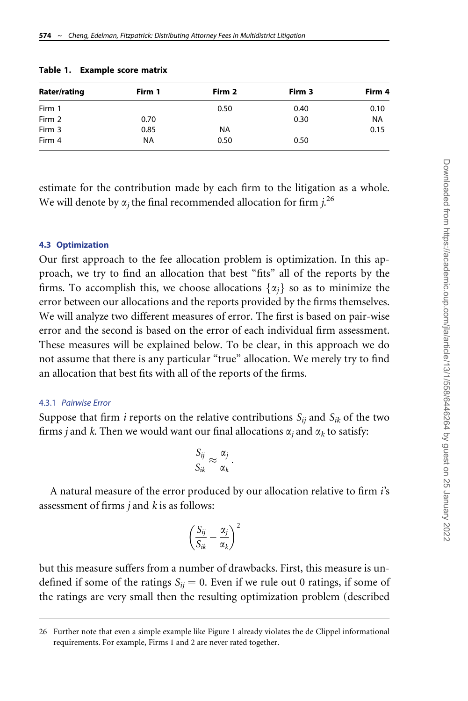| Rater/rating | Firm 1    | Firm 2    | Firm 3 | Firm 4    |
|--------------|-----------|-----------|--------|-----------|
| Firm 1       |           | 0.50      | 0.40   | 0.10      |
| Firm 2       | 0.70      |           | 0.30   | <b>NA</b> |
| Firm 3       | 0.85      | <b>NA</b> |        | 0.15      |
| Firm 4       | <b>NA</b> | 0.50      | 0.50   |           |

<span id="page-16-0"></span>Table 1. Example score matrix

estimate for the contribution made by each firm to the litigation as a whole. We will denote by  $\alpha_j$  the final recommended allocation for firm  $j_\cdot^{26}$ 

#### 4.3 Optimization

Our first approach to the fee allocation problem is optimization. In this approach, we try to find an allocation that best "fits" all of the reports by the firms. To accomplish this, we choose allocations  $\{\alpha_i\}$  so as to minimize the error between our allocations and the reports provided by the firms themselves. We will analyze two different measures of error. The first is based on pair-wise error and the second is based on the error of each individual firm assessment. These measures will be explained below. To be clear, in this approach we do not assume that there is any particular "true" allocation. We merely try to find an allocation that best fits with all of the reports of the firms.

#### 4.3.1 Pairwise Error

Suppose that firm *i* reports on the relative contributions  $S_{ij}$  and  $S_{ik}$  of the two firms *j* and *k*. Then we would want our final allocations  $\alpha_i$  and  $\alpha_k$  to satisfy:

$$
\frac{S_{ij}}{S_{ik}} \approx \frac{\alpha_j}{\alpha_k}
$$

:

A natural measure of the error produced by our allocation relative to firm i's assessment of firms  $j$  and  $k$  is as follows:

$$
\left(\frac{S_{ij}}{S_{ik}}-\frac{\alpha_j}{\alpha_k}\right)^2
$$

but this measure suffers from a number of drawbacks. First, this measure is undefined if some of the ratings  $S_{ii} = 0$ . Even if we rule out 0 ratings, if some of the ratings are very small then the resulting optimization problem (described

<sup>26</sup> Further note that even a simple example like Figure 1 already violates the de Clippel informational requirements. For example, Firms 1 and 2 are never rated together.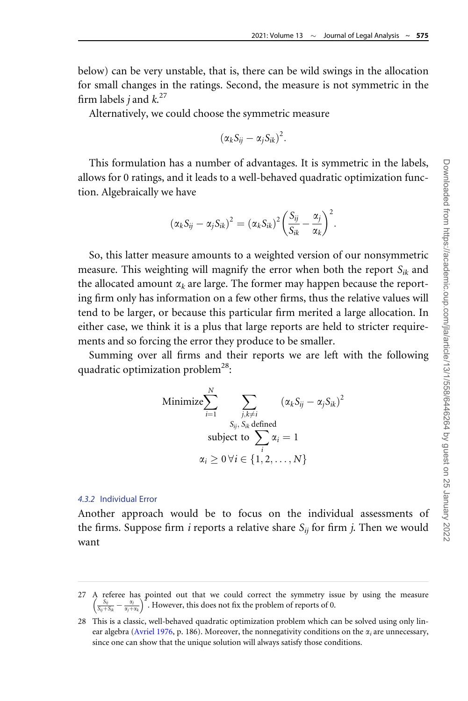below) can be very unstable, that is, there can be wild swings in the allocation for small changes in the ratings. Second, the measure is not symmetric in the firm labels  $j$  and  $k$ .<sup>27</sup>

Alternatively, we could choose the symmetric measure

$$
(\alpha_k S_{ij} - \alpha_j S_{ik})^2.
$$

This formulation has a number of advantages. It is symmetric in the labels, allows for 0 ratings, and it leads to a well-behaved quadratic optimization function. Algebraically we have

$$
(\alpha_k S_{ij} - \alpha_j S_{ik})^2 = (\alpha_k S_{ik})^2 \left(\frac{S_{ij}}{S_{ik}} - \frac{\alpha_j}{\alpha_k}\right)^2.
$$

So, this latter measure amounts to a weighted version of our nonsymmetric measure. This weighting will magnify the error when both the report  $S_{ik}$  and the allocated amount  $\alpha_k$  are large. The former may happen because the reporting firm only has information on a few other firms, thus the relative values will tend to be larger, or because this particular firm merited a large allocation. In either case, we think it is a plus that large reports are held to stricter requirements and so forcing the error they produce to be smaller.

Summing over all firms and their reports we are left with the following quadratic optimization problem<sup>28</sup>:

Minimize 
$$
\sum_{i=1}^{N} \sum_{\substack{j,k \neq i \ j, s_k \text{ defined} \text{subject to } \sum_{i} \alpha_i = 1}} (\alpha_k S_{ij} - \alpha_j S_{ik})^2
$$
  
\nsubject to  $\sum_{i} \alpha_i = 1$   
\n $\alpha_i \geq 0 \forall i \in \{1, 2, ..., N\}$ 

#### 4.3.2 Individual Error

Another approach would be to focus on the individual assessments of the firms. Suppose firm *i* reports a relative share  $S_{ii}$  for firm *j*. Then we would want

27 A referee has pointed out that we could correct the symmetry issue by using the measure  $\int_{a}^{S_{ij}} s_j$   $\frac{\alpha_j}{\alpha_j}$  Houseum this does not fix the problem of remote of 0.  $\frac{S_{ij}}{S_{ij}+S_{ik}} - \frac{\alpha_j}{\alpha_j+\alpha_k} \right)^2$ . However, this does not fix the problem of reports of 0.

<sup>28</sup> This is a classic, well-behaved quadratic optimization problem which can be solved using only lin-ear algebra ([Avriel 1976](#page-33-0), p. 186). Moreover, the nonnegativity conditions on the  $\alpha_i$  are unnecessary, since one can show that the unique solution will always satisfy those conditions.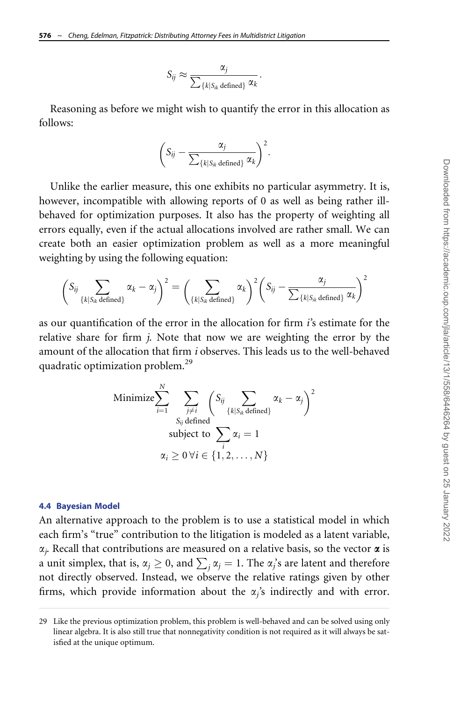$$
S_{ij} \approx \frac{\alpha_j}{\sum_{\{k|S_{ik} \text{ defined}\}} \alpha_k}.
$$

Reasoning as before we might wish to quantify the error in this allocation as follows:

$$
\left(S_{ij} - \frac{\alpha_j}{\sum_{\{k|S_{ik} \text{ defined}\}} \alpha_k}\right)^2.
$$

Unlike the earlier measure, this one exhibits no particular asymmetry. It is, however, incompatible with allowing reports of 0 as well as being rather illbehaved for optimization purposes. It also has the property of weighting all errors equally, even if the actual allocations involved are rather small. We can create both an easier optimization problem as well as a more meaningful weighting by using the following equation:

$$
\left(S_{ij}\sum_{\{k|S_{ik} \text{ defined}\}} \alpha_k - \alpha_j\right)^2 = \left(\sum_{\{k|S_{ik} \text{ defined}\}} \alpha_k\right)^2 \left(S_{ij} - \frac{\alpha_j}{\sum_{\{k|S_{ik} \text{ defined}\}} \alpha_k}\right)^2
$$

as our quantification of the error in the allocation for firm  $i$ 's estimate for the relative share for firm j. Note that now we are weighting the error by the amount of the allocation that firm i observes. This leads us to the well-behaved quadratic optimization problem.<sup>29</sup>

Minimize 
$$
\sum_{i=1}^{N} \sum_{\substack{j \neq i \\ S_{ij} \text{ defined} \\ \text{subject to } \sum_{i} \alpha_i = 1}} (S_{ij} \sum_{\{k | S_{ik} \text{ defined}\}} \alpha_k - \alpha_j)^2
$$

$$
\alpha_i \ge 0 \,\forall i \in \{1, 2, ..., N\}
$$

#### 4.4 Bayesian Model

An alternative approach to the problem is to use a statistical model in which each firm's "true" contribution to the litigation is modeled as a latent variable,  $\alpha_i$ . Recall that contributions are measured on a relative basis, so the vector  $\alpha$  is a unit simplex, that is,  $\alpha_j \geq 0$ , and  $\sum_j \alpha_j = 1$ . The  $\alpha_j$ 's are latent and therefore not directly observed. Instead, we observe the relative ratings given by other firms, which provide information about the  $\alpha_j$ 's indirectly and with error.

<sup>29</sup> Like the previous optimization problem, this problem is well-behaved and can be solved using only linear algebra. It is also still true that nonnegativity condition is not required as it will always be satisfied at the unique optimum.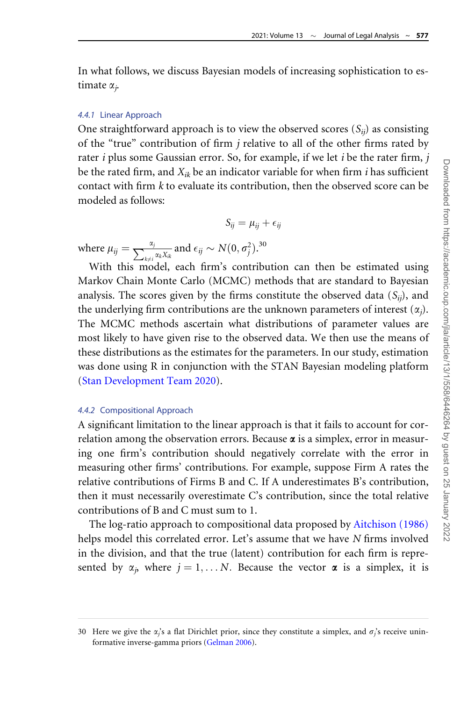In what follows, we discuss Bayesian models of increasing sophistication to estimate  $\alpha_j$ .

#### 4.4.1 Linear Approach

One straightforward approach is to view the observed scores  $(S_{ii})$  as consisting of the "true" contribution of firm  $j$  relative to all of the other firms rated by rater *i* plus some Gaussian error. So, for example, if we let *i* be the rater firm, *j* be the rated firm, and  $X_{ik}$  be an indicator variable for when firm *i* has sufficient contact with firm  $k$  to evaluate its contribution, then the observed score can be modeled as follows:

$$
S_{ij} = \mu_{ij} + \epsilon_{ij}
$$

where  $\mu_{ij} = \frac{\alpha_j}{\sum_{k \neq i} \alpha_k X_{ik}}$  and  $\epsilon_{ij} \sim N(0, \sigma_j^2)$ .<sup>30</sup>

With this model, each firm's contribution can then be estimated using Markov Chain Monte Carlo (MCMC) methods that are standard to Bayesian analysis. The scores given by the firms constitute the observed data  $(S_{ii})$ , and the underlying firm contributions are the unknown parameters of interest  $(\alpha_j)$ . The MCMC methods ascertain what distributions of parameter values are most likely to have given rise to the observed data. We then use the means of these distributions as the estimates for the parameters. In our study, estimation was done using R in conjunction with the STAN Bayesian modeling platform ([Stan Development Team 2020](#page-36-0)).

### 4.4.2 Compositional Approach

A significant limitation to the linear approach is that it fails to account for correlation among the observation errors. Because  $\alpha$  is a simplex, error in measuring one firm's contribution should negatively correlate with the error in measuring other firms' contributions. For example, suppose Firm A rates the relative contributions of Firms B and C. If A underestimates B's contribution, then it must necessarily overestimate C's contribution, since the total relative contributions of B and C must sum to 1.

The log-ratio approach to compositional data proposed by [Aitchison \(1986\)](#page-32-0) helps model this correlated error. Let's assume that we have N firms involved in the division, and that the true (latent) contribution for each firm is represented by  $\alpha_i$ , where  $j = 1, \ldots N$ . Because the vector  $\alpha$  is a simplex, it is

<sup>30</sup> Here we give the  $\alpha_i$ 's a flat Dirichlet prior, since they constitute a simplex, and  $\sigma_i$ 's receive uninformative inverse-gamma priors ([Gelman 2006\)](#page-34-0).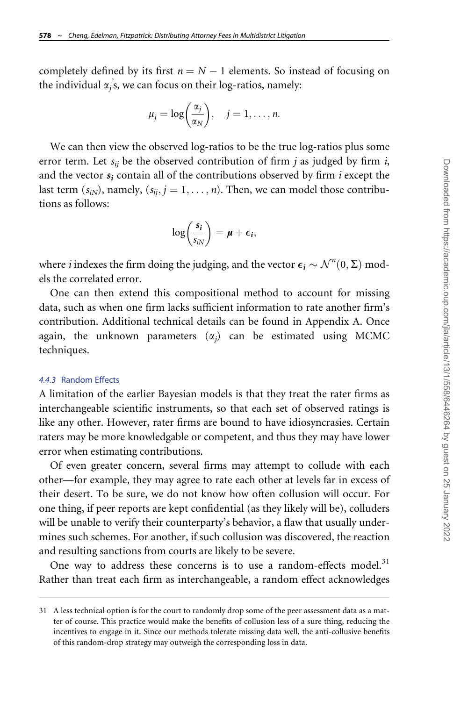completely defined by its first  $n = N - 1$  elements. So instead of focusing on the individual  $\alpha_j$ 's, we can focus on their log-ratios, namely:

$$
\mu_j = \log\bigg(\frac{\alpha_j}{\alpha_N}\bigg), \quad j = 1, \dots, n.
$$

We can then view the observed log-ratios to be the true log-ratios plus some error term. Let  $s_{ii}$  be the observed contribution of firm *j* as judged by firm *i*, and the vector  $s_i$  contain all of the contributions observed by firm *i* except the last term  $(s_{iN})$ , namely,  $(s_{ii}, j = 1, \ldots, n)$ . Then, we can model those contributions as follows:

$$
\log\left(\frac{s_i}{s_{iN}}\right)=\mu+\epsilon_i,
$$

where *i* indexes the firm doing the judging, and the vector  $\epsilon_i \sim \mathcal{N}^n(0, \Sigma)$  models the correlated error.

One can then extend this compositional method to account for missing data, such as when one firm lacks sufficient information to rate another firm's contribution. Additional technical details can be found in Appendix A. Once again, the unknown parameters  $(\alpha_i)$  can be estimated using MCMC techniques.

#### 4.4.3 Random Effects

A limitation of the earlier Bayesian models is that they treat the rater firms as interchangeable scientific instruments, so that each set of observed ratings is like any other. However, rater firms are bound to have idiosyncrasies. Certain raters may be more knowledgable or competent, and thus they may have lower error when estimating contributions.

Of even greater concern, several firms may attempt to collude with each other—for example, they may agree to rate each other at levels far in excess of their desert. To be sure, we do not know how often collusion will occur. For one thing, if peer reports are kept confidential (as they likely will be), colluders will be unable to verify their counterparty's behavior, a flaw that usually undermines such schemes. For another, if such collusion was discovered, the reaction and resulting sanctions from courts are likely to be severe.

One way to address these concerns is to use a random-effects model.<sup>31</sup> Rather than treat each firm as interchangeable, a random effect acknowledges

<sup>31</sup> A less technical option is for the court to randomly drop some of the peer assessment data as a matter of course. This practice would make the benefits of collusion less of a sure thing, reducing the incentives to engage in it. Since our methods tolerate missing data well, the anti-collusive benefits of this random-drop strategy may outweigh the corresponding loss in data.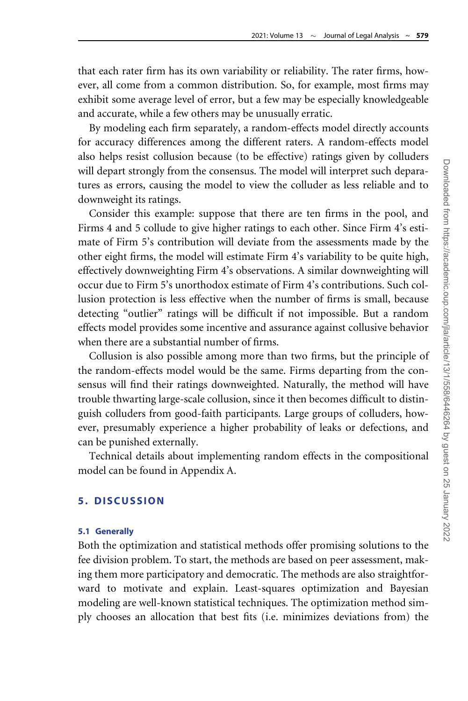that each rater firm has its own variability or reliability. The rater firms, however, all come from a common distribution. So, for example, most firms may exhibit some average level of error, but a few may be especially knowledgeable and accurate, while a few others may be unusually erratic.

By modeling each firm separately, a random-effects model directly accounts for accuracy differences among the different raters. A random-effects model also helps resist collusion because (to be effective) ratings given by colluders will depart strongly from the consensus. The model will interpret such deparatures as errors, causing the model to view the colluder as less reliable and to downweight its ratings.

Consider this example: suppose that there are ten firms in the pool, and Firms 4 and 5 collude to give higher ratings to each other. Since Firm 4's estimate of Firm 5's contribution will deviate from the assessments made by the other eight firms, the model will estimate Firm 4's variability to be quite high, effectively downweighting Firm 4's observations. A similar downweighting will occur due to Firm 5's unorthodox estimate of Firm 4's contributions. Such collusion protection is less effective when the number of firms is small, because detecting "outlier" ratings will be difficult if not impossible. But a random effects model provides some incentive and assurance against collusive behavior when there are a substantial number of firms.

Collusion is also possible among more than two firms, but the principle of the random-effects model would be the same. Firms departing from the consensus will find their ratings downweighted. Naturally, the method will have trouble thwarting large-scale collusion, since it then becomes difficult to distinguish colluders from good-faith participants. Large groups of colluders, however, presumably experience a higher probability of leaks or defections, and can be punished externally.

Technical details about implementing random effects in the compositional model can be found in Appendix A.

### 5. DISCUSSION

### 5.1 Generally

Both the optimization and statistical methods offer promising solutions to the fee division problem. To start, the methods are based on peer assessment, making them more participatory and democratic. The methods are also straightforward to motivate and explain. Least-squares optimization and Bayesian modeling are well-known statistical techniques. The optimization method simply chooses an allocation that best fits (i.e. minimizes deviations from) the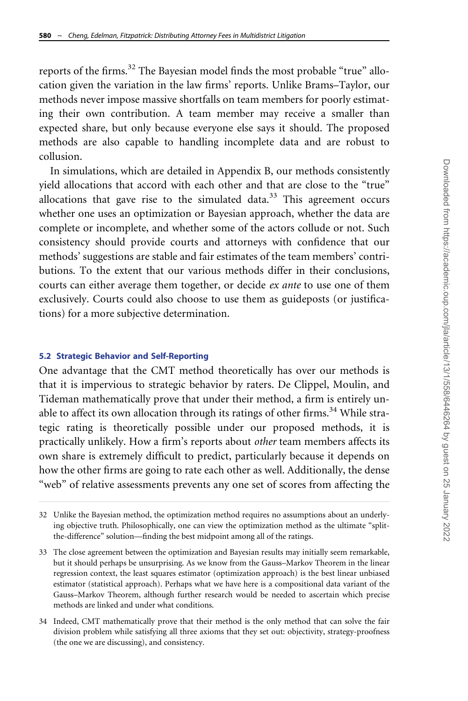reports of the firms.<sup>32</sup> The Bayesian model finds the most probable "true" allocation given the variation in the law firms' reports. Unlike Brams–Taylor, our methods never impose massive shortfalls on team members for poorly estimating their own contribution. A team member may receive a smaller than expected share, but only because everyone else says it should. The proposed methods are also capable to handling incomplete data and are robust to collusion.

In simulations, which are detailed in Appendix B, our methods consistently yield allocations that accord with each other and that are close to the "true" allocations that gave rise to the simulated data. $33$  This agreement occurs whether one uses an optimization or Bayesian approach, whether the data are complete or incomplete, and whether some of the actors collude or not. Such consistency should provide courts and attorneys with confidence that our methods' suggestions are stable and fair estimates of the team members' contributions. To the extent that our various methods differ in their conclusions, courts can either average them together, or decide *ex ante* to use one of them exclusively. Courts could also choose to use them as guideposts (or justifications) for a more subjective determination.

### 5.2 Strategic Behavior and Self-Reporting

One advantage that the CMT method theoretically has over our methods is that it is impervious to strategic behavior by raters. De Clippel, Moulin, and Tideman mathematically prove that under their method, a firm is entirely unable to affect its own allocation through its ratings of other firms.<sup>34</sup> While strategic rating is theoretically possible under our proposed methods, it is practically unlikely. How a firm's reports about other team members affects its own share is extremely difficult to predict, particularly because it depends on how the other firms are going to rate each other as well. Additionally, the dense "web" of relative assessments prevents any one set of scores from affecting the

34 Indeed, CMT mathematically prove that their method is the only method that can solve the fair division problem while satisfying all three axioms that they set out: objectivity, strategy-proofness (the one we are discussing), and consistency.

<sup>32</sup> Unlike the Bayesian method, the optimization method requires no assumptions about an underlying objective truth. Philosophically, one can view the optimization method as the ultimate "splitthe-difference" solution—finding the best midpoint among all of the ratings.

<sup>33</sup> The close agreement between the optimization and Bayesian results may initially seem remarkable, but it should perhaps be unsurprising. As we know from the Gauss–Markov Theorem in the linear regression context, the least squares estimator (optimization approach) is the best linear unbiased estimator (statistical approach). Perhaps what we have here is a compositional data variant of the Gauss–Markov Theorem, although further research would be needed to ascertain which precise methods are linked and under what conditions.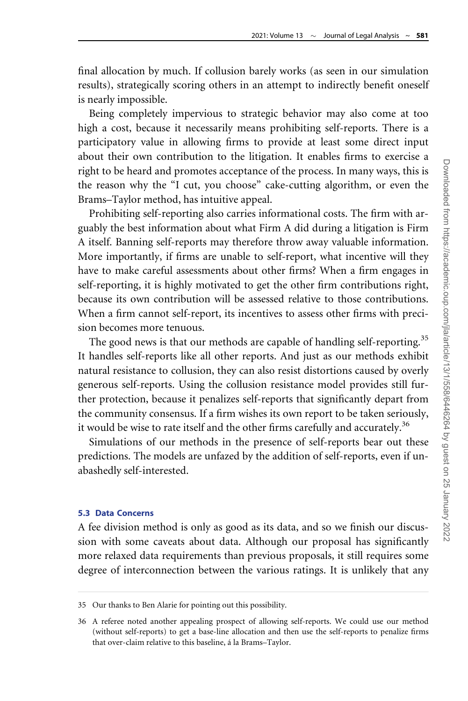final allocation by much. If collusion barely works (as seen in our simulation results), strategically scoring others in an attempt to indirectly benefit oneself is nearly impossible.

Being completely impervious to strategic behavior may also come at too high a cost, because it necessarily means prohibiting self-reports. There is a participatory value in allowing firms to provide at least some direct input about their own contribution to the litigation. It enables firms to exercise a right to be heard and promotes acceptance of the process. In many ways, this is the reason why the "I cut, you choose" cake-cutting algorithm, or even the Brams–Taylor method, has intuitive appeal.

Prohibiting self-reporting also carries informational costs. The firm with arguably the best information about what Firm A did during a litigation is Firm A itself. Banning self-reports may therefore throw away valuable information. More importantly, if firms are unable to self-report, what incentive will they have to make careful assessments about other firms? When a firm engages in self-reporting, it is highly motivated to get the other firm contributions right, because its own contribution will be assessed relative to those contributions. When a firm cannot self-report, its incentives to assess other firms with precision becomes more tenuous.

The good news is that our methods are capable of handling self-reporting.<sup>35</sup> It handles self-reports like all other reports. And just as our methods exhibit natural resistance to collusion, they can also resist distortions caused by overly generous self-reports. Using the collusion resistance model provides still further protection, because it penalizes self-reports that significantly depart from the community consensus. If a firm wishes its own report to be taken seriously, it would be wise to rate itself and the other firms carefully and accurately.<sup>36</sup>

Simulations of our methods in the presence of self-reports bear out these predictions. The models are unfazed by the addition of self-reports, even if unabashedly self-interested.

### 5.3 Data Concerns

A fee division method is only as good as its data, and so we finish our discussion with some caveats about data. Although our proposal has significantly more relaxed data requirements than previous proposals, it still requires some degree of interconnection between the various ratings. It is unlikely that any

<sup>35</sup> Our thanks to Ben Alarie for pointing out this possibility.

<sup>36</sup> A referee noted another appealing prospect of allowing self-reports. We could use our method (without self-reports) to get a base-line allocation and then use the self-reports to penalize firms that over-claim relative to this baseline, á la Brams–Taylor.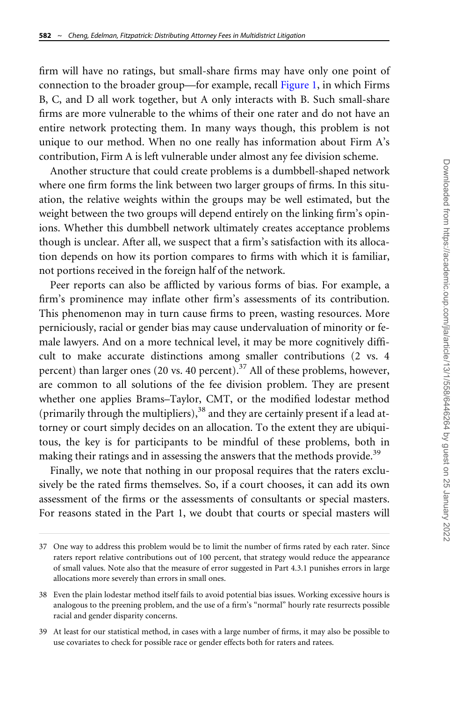firm will have no ratings, but small-share firms may have only one point of connection to the broader group—for example, recall [Figure 1,](#page-15-0) in which Firms B, C, and D all work together, but A only interacts with B. Such small-share firms are more vulnerable to the whims of their one rater and do not have an entire network protecting them. In many ways though, this problem is not unique to our method. When no one really has information about Firm A's contribution, Firm A is left vulnerable under almost any fee division scheme.

Another structure that could create problems is a dumbbell-shaped network where one firm forms the link between two larger groups of firms. In this situation, the relative weights within the groups may be well estimated, but the weight between the two groups will depend entirely on the linking firm's opinions. Whether this dumbbell network ultimately creates acceptance problems though is unclear. After all, we suspect that a firm's satisfaction with its allocation depends on how its portion compares to firms with which it is familiar, not portions received in the foreign half of the network.

Peer reports can also be afflicted by various forms of bias. For example, a firm's prominence may inflate other firm's assessments of its contribution. This phenomenon may in turn cause firms to preen, wasting resources. More perniciously, racial or gender bias may cause undervaluation of minority or female lawyers. And on a more technical level, it may be more cognitively difficult to make accurate distinctions among smaller contributions (2 vs. 4 percent) than larger ones (20 vs. 40 percent).<sup>37</sup> All of these problems, however, are common to all solutions of the fee division problem. They are present whether one applies Brams–Taylor, CMT, or the modified lodestar method (primarily through the multipliers),  $38$  and they are certainly present if a lead attorney or court simply decides on an allocation. To the extent they are ubiquitous, the key is for participants to be mindful of these problems, both in making their ratings and in assessing the answers that the methods provide.<sup>39</sup>

Finally, we note that nothing in our proposal requires that the raters exclusively be the rated firms themselves. So, if a court chooses, it can add its own assessment of the firms or the assessments of consultants or special masters. For reasons stated in the Part 1, we doubt that courts or special masters will

<sup>37</sup> One way to address this problem would be to limit the number of firms rated by each rater. Since raters report relative contributions out of 100 percent, that strategy would reduce the appearance of small values. Note also that the measure of error suggested in Part 4.3.1 punishes errors in large allocations more severely than errors in small ones.

<sup>38</sup> Even the plain lodestar method itself fails to avoid potential bias issues. Working excessive hours is analogous to the preening problem, and the use of a firm's "normal" hourly rate resurrects possible racial and gender disparity concerns.

<sup>39</sup> At least for our statistical method, in cases with a large number of firms, it may also be possible to use covariates to check for possible race or gender effects both for raters and ratees.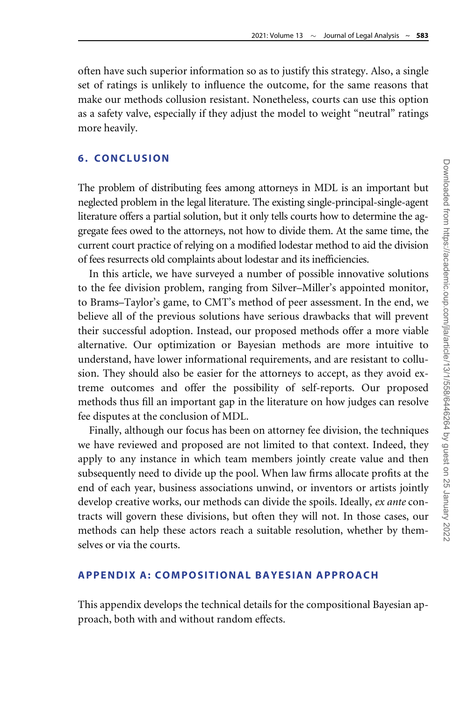often have such superior information so as to justify this strategy. Also, a single set of ratings is unlikely to influence the outcome, for the same reasons that make our methods collusion resistant. Nonetheless, courts can use this option as a safety valve, especially if they adjust the model to weight "neutral" ratings more heavily.

#### 6. CONCLUSION

The problem of distributing fees among attorneys in MDL is an important but neglected problem in the legal literature. The existing single-principal-single-agent literature offers a partial solution, but it only tells courts how to determine the aggregate fees owed to the attorneys, not how to divide them. At the same time, the current court practice of relying on a modified lodestar method to aid the division of fees resurrects old complaints about lodestar and its inefficiencies.

In this article, we have surveyed a number of possible innovative solutions to the fee division problem, ranging from Silver–Miller's appointed monitor, to Brams–Taylor's game, to CMT's method of peer assessment. In the end, we believe all of the previous solutions have serious drawbacks that will prevent their successful adoption. Instead, our proposed methods offer a more viable alternative. Our optimization or Bayesian methods are more intuitive to understand, have lower informational requirements, and are resistant to collusion. They should also be easier for the attorneys to accept, as they avoid extreme outcomes and offer the possibility of self-reports. Our proposed methods thus fill an important gap in the literature on how judges can resolve fee disputes at the conclusion of MDL.

Finally, although our focus has been on attorney fee division, the techniques we have reviewed and proposed are not limited to that context. Indeed, they apply to any instance in which team members jointly create value and then subsequently need to divide up the pool. When law firms allocate profits at the end of each year, business associations unwind, or inventors or artists jointly develop creative works, our methods can divide the spoils. Ideally, ex ante contracts will govern these divisions, but often they will not. In those cases, our methods can help these actors reach a suitable resolution, whether by themselves or via the courts.

### APPENDIX A: COMPOSITIONAL BAYESIAN APPROACH

This appendix develops the technical details for the compositional Bayesian approach, both with and without random effects.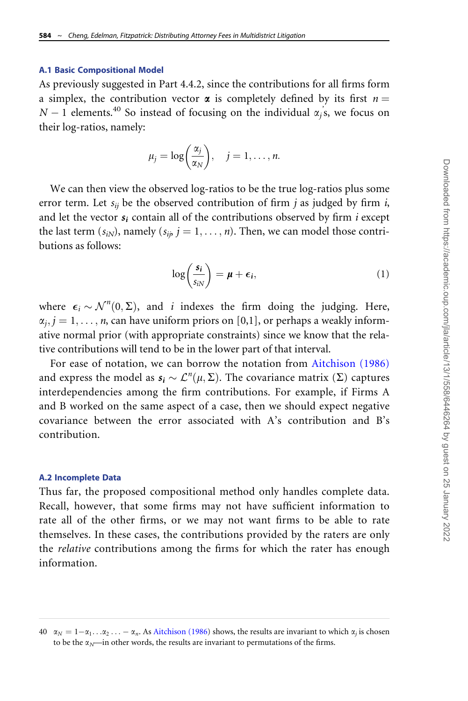#### <span id="page-26-0"></span>A.1 Basic Compositional Model

As previously suggested in Part 4.4.2, since the contributions for all firms form a simplex, the contribution vector  $\alpha$  is completely defined by its first  $n =$  $N-1$  elements.<sup>40</sup> So instead of focusing on the individual  $\alpha_j$ 's, we focus on their log-ratios, namely:

$$
\mu_j = \log\bigg(\frac{\alpha_j}{\alpha_N}\bigg), \quad j = 1, \ldots, n.
$$

We can then view the observed log-ratios to be the true log-ratios plus some error term. Let  $s_{ij}$  be the observed contribution of firm j as judged by firm i, and let the vector  $s_i$  contain all of the contributions observed by firm *i* except the last term  $(s_{iN})$ , namely  $(s_{i\dot{p}}, i = 1, \ldots, n)$ . Then, we can model those contributions as follows:

$$
\log\left(\frac{s_i}{s_{iN}}\right) = \mu + \epsilon_i, \tag{1}
$$

where  $\epsilon_i \sim \mathcal{N}^n(0, \Sigma)$ , and i indexes the firm doing the judging. Here,  $\alpha_i$ ,  $j = 1, \ldots, n$ , can have uniform priors on [0,1], or perhaps a weakly informative normal prior (with appropriate constraints) since we know that the relative contributions will tend to be in the lower part of that interval.

For ease of notation, we can borrow the notation from [Aitchison \(1986\)](#page-32-0) and express the model as  $s_i \sim \mathcal{L}^n(\mu, \Sigma)$ . The covariance matrix ( $\Sigma$ ) captures interdependencies among the firm contributions. For example, if Firms A and B worked on the same aspect of a case, then we should expect negative covariance between the error associated with A's contribution and B's contribution.

#### A.2 Incomplete Data

Thus far, the proposed compositional method only handles complete data. Recall, however, that some firms may not have sufficient information to rate all of the other firms, or we may not want firms to be able to rate themselves. In these cases, the contributions provided by the raters are only the *relative* contributions among the firms for which the rater has enough information.

 $40 \alpha_N = 1-\alpha_1 \ldots \alpha_2 \ldots -\alpha_n$ . As [Aitchison \(1986](#page-32-0)) shows, the results are invariant to which  $\alpha_i$  is chosen to be the  $\alpha_N$ —in other words, the results are invariant to permutations of the firms.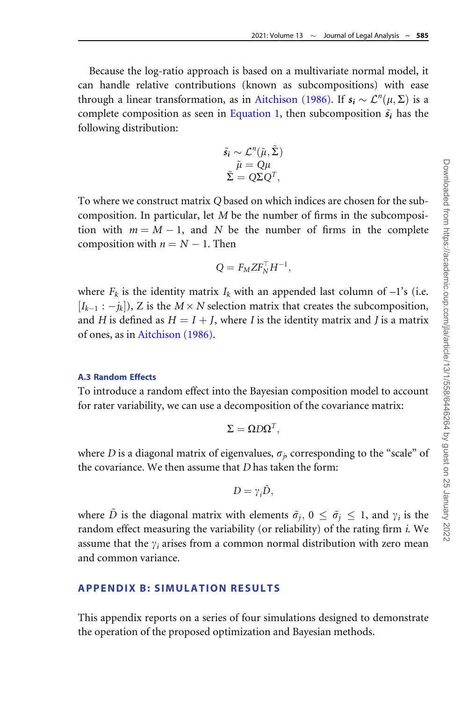Because the log-ratio approach is based on a multivariate normal model, it can handle relative contributions (known as subcompositions) with ease through a linear transformation, as in [Aitchison \(1986\)](#page-32-0). If  $s_i \sim \mathcal{L}^n(\mu, \Sigma)$  is a complete composition as seen in [Equation 1](#page-26-0), then subcomposition  $\tilde{s}_i$  has the following distribution:

$$
\tilde{s}_i \sim \mathcal{L}^n(\tilde{\mu}, \tilde{\Sigma})
$$

$$
\tilde{\mu} = Q\mu
$$

$$
\tilde{\Sigma} = Q\Sigma Q^T,
$$

To where we construct matrix Q based on which indices are chosen for the subcomposition. In particular, let M be the number of firms in the subcomposition with  $m = M - 1$ , and N be the number of firms in the complete composition with  $n = N - 1$ . Then

$$
Q = F_M Z F_N^\top H^{-1},
$$

where  $F_k$  is the identity matrix  $I_k$  with an appended last column of  $-1$ 's (i.e.  $[I_{k-1} : -j_k]$ , Z is the  $M \times N$  selection matrix that creates the subcomposition, and H is defined as  $H = I + J$ , where I is the identity matrix and J is a matrix of ones, as in [Aitchison \(1986\)](#page-32-0).

### A.3 Random Effects

To introduce a random effect into the Bayesian composition model to account for rater variability, we can use a decomposition of the covariance matrix:

$$
\Sigma = \mathbf{\Omega} D \mathbf{\Omega}^T,
$$

where D is a diagonal matrix of eigenvalues,  $\sigma_i$ , corresponding to the "scale" of the covariance. We then assume that D has taken the form:

$$
D=\gamma_i\tilde{D},
$$

where D is the diagonal matrix with elements  $\tilde{\sigma}_i$ ,  $0 \leq \tilde{\sigma}_i \leq 1$ , and  $\gamma_i$  is the random effect measuring the variability (or reliability) of the rating firm  $i$ . We assume that the  $\gamma_i$  arises from a common normal distribution with zero mean and common variance.

# APPENDIX B: SIMULATION RESULTS

This appendix reports on a series of four simulations designed to demonstrate the operation of the proposed optimization and Bayesian methods.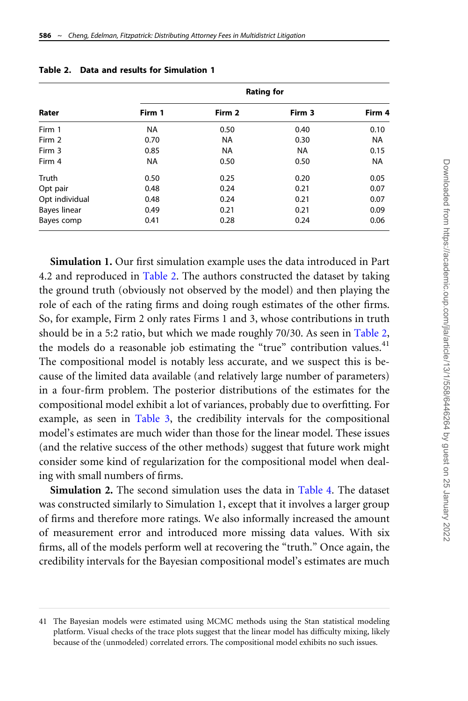|                     | <b>Rating for</b> |           |           |           |  |  |  |  |  |
|---------------------|-------------------|-----------|-----------|-----------|--|--|--|--|--|
| Rater               | Firm 1            | Firm 2    | Firm 3    | Firm 4    |  |  |  |  |  |
| Firm 1              | <b>NA</b>         | 0.50      | 0.40      | 0.10      |  |  |  |  |  |
| Firm 2              | 0.70              | <b>NA</b> | 0.30      | <b>NA</b> |  |  |  |  |  |
| Firm 3              | 0.85              | <b>NA</b> | <b>NA</b> | 0.15      |  |  |  |  |  |
| Firm 4              | <b>NA</b>         | 0.50      | 0.50      | <b>NA</b> |  |  |  |  |  |
| Truth               | 0.50              | 0.25      | 0.20      | 0.05      |  |  |  |  |  |
| Opt pair            | 0.48              | 0.24      | 0.21      | 0.07      |  |  |  |  |  |
| Opt individual      | 0.48              | 0.24      | 0.21      | 0.07      |  |  |  |  |  |
| <b>Bayes linear</b> | 0.49              | 0.21      | 0.21      | 0.09      |  |  |  |  |  |
| Bayes comp          | 0.41              | 0.28      | 0.24      | 0.06      |  |  |  |  |  |

Simulation 1. Our first simulation example uses the data introduced in Part 4.2 and reproduced in Table 2. The authors constructed the dataset by taking the ground truth (obviously not observed by the model) and then playing the role of each of the rating firms and doing rough estimates of the other firms. So, for example, Firm 2 only rates Firms 1 and 3, whose contributions in truth should be in a 5:2 ratio, but which we made roughly 70/30. As seen in Table 2, the models do a reasonable job estimating the "true" contribution values.<sup>41</sup> The compositional model is notably less accurate, and we suspect this is because of the limited data available (and relatively large number of parameters) in a four-firm problem. The posterior distributions of the estimates for the compositional model exhibit a lot of variances, probably due to overfitting. For example, as seen in [Table 3,](#page-29-0) the credibility intervals for the compositional model's estimates are much wider than those for the linear model. These issues (and the relative success of the other methods) suggest that future work might consider some kind of regularization for the compositional model when dealing with small numbers of firms.

Simulation 2. The second simulation uses the data in [Table 4.](#page-29-0) The dataset was constructed similarly to Simulation 1, except that it involves a larger group of firms and therefore more ratings. We also informally increased the amount of measurement error and introduced more missing data values. With six firms, all of the models perform well at recovering the "truth." Once again, the credibility intervals for the Bayesian compositional model's estimates are much

<sup>41</sup> The Bayesian models were estimated using MCMC methods using the Stan statistical modeling platform. Visual checks of the trace plots suggest that the linear model has difficulty mixing, likely because of the (unmodeled) correlated errors. The compositional model exhibits no such issues.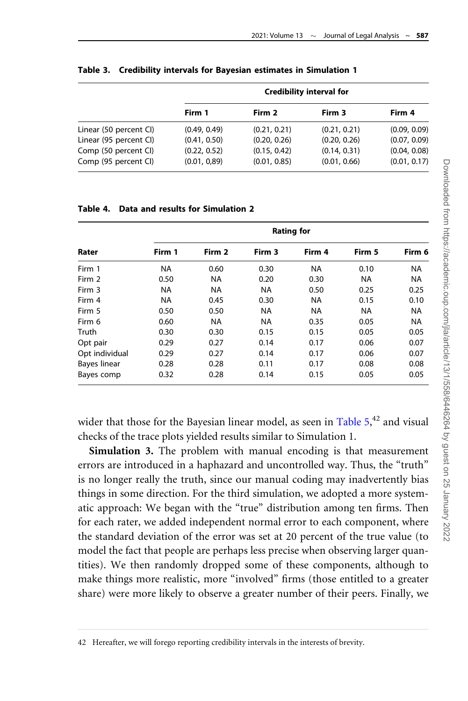|                        | Credibility interval for |              |              |              |  |  |  |  |
|------------------------|--------------------------|--------------|--------------|--------------|--|--|--|--|
|                        | Firm 1                   | Firm 2       | Firm 3       | Firm 4       |  |  |  |  |
| Linear (50 percent CI) | (0.49, 0.49)             | (0.21, 0.21) | (0.21, 0.21) | (0.09, 0.09) |  |  |  |  |
| Linear (95 percent CI) | (0.41, 0.50)             | (0.20, 0.26) | (0.20, 0.26) | (0.07, 0.09) |  |  |  |  |
| Comp (50 percent CI)   | (0.22, 0.52)             | (0.15, 0.42) | (0.14, 0.31) | (0.04, 0.08) |  |  |  |  |
| Comp (95 percent CI)   | (0.01, 0.89)             | (0.01, 0.85) | (0.01, 0.66) | (0.01, 0.17) |  |  |  |  |

#### <span id="page-29-0"></span>Table 3. Credibility intervals for Bayesian estimates in Simulation 1

#### Table 4. Data and results for Simulation 2

| Rater               |           | <b>Rating for</b> |           |           |           |           |  |  |  |  |  |
|---------------------|-----------|-------------------|-----------|-----------|-----------|-----------|--|--|--|--|--|
|                     | Firm 1    | Firm 2            | Firm 3    | Firm 4    | Firm 5    | Firm 6    |  |  |  |  |  |
| Firm 1              | <b>NA</b> | 0.60              | 0.30      | <b>NA</b> | 0.10      | <b>NA</b> |  |  |  |  |  |
| Firm 2              | 0.50      | <b>NA</b>         | 0.20      | 0.30      | <b>NA</b> | <b>NA</b> |  |  |  |  |  |
| Firm 3              | <b>NA</b> | <b>NA</b>         | <b>NA</b> | 0.50      | 0.25      | 0.25      |  |  |  |  |  |
| Firm 4              | NA.       | 0.45              | 0.30      | <b>NA</b> | 0.15      | 0.10      |  |  |  |  |  |
| Firm 5              | 0.50      | 0.50              | <b>NA</b> | <b>NA</b> | <b>NA</b> | <b>NA</b> |  |  |  |  |  |
| Firm 6              | 0.60      | NA.               | <b>NA</b> | 0.35      | 0.05      | <b>NA</b> |  |  |  |  |  |
| Truth               | 0.30      | 0.30              | 0.15      | 0.15      | 0.05      | 0.05      |  |  |  |  |  |
| Opt pair            | 0.29      | 0.27              | 0.14      | 0.17      | 0.06      | 0.07      |  |  |  |  |  |
| Opt individual      | 0.29      | 0.27              | 0.14      | 0.17      | 0.06      | 0.07      |  |  |  |  |  |
| <b>Bayes linear</b> | 0.28      | 0.28              | 0.11      | 0.17      | 0.08      | 0.08      |  |  |  |  |  |
| Bayes comp          | 0.32      | 0.28              | 0.14      | 0.15      | 0.05      | 0.05      |  |  |  |  |  |

wider that those for the Bayesian linear model, as seen in [Table 5](#page-30-0),<sup>42</sup> and visual checks of the trace plots yielded results similar to Simulation 1.

Simulation 3. The problem with manual encoding is that measurement errors are introduced in a haphazard and uncontrolled way. Thus, the "truth" is no longer really the truth, since our manual coding may inadvertently bias things in some direction. For the third simulation, we adopted a more systematic approach: We began with the "true" distribution among ten firms. Then for each rater, we added independent normal error to each component, where the standard deviation of the error was set at 20 percent of the true value (to model the fact that people are perhaps less precise when observing larger quantities). We then randomly dropped some of these components, although to make things more realistic, more "involved" firms (those entitled to a greater share) were more likely to observe a greater number of their peers. Finally, we

<sup>42</sup> Hereafter, we will forego reporting credibility intervals in the interests of brevity.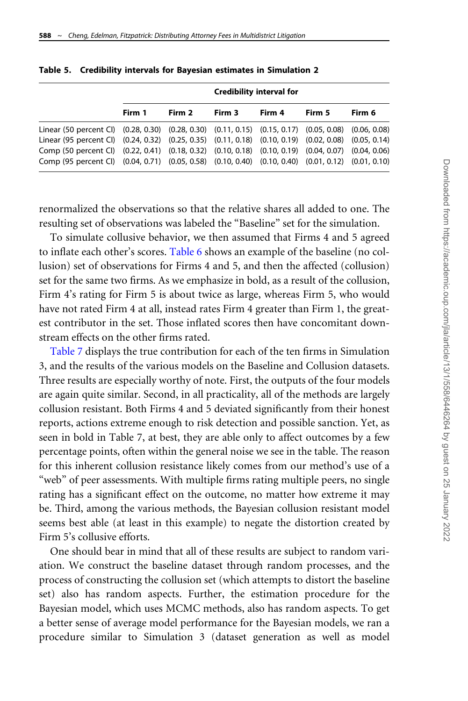|                                                                                                      | Credibility interval for |        |        |        |        |        |  |  |  |
|------------------------------------------------------------------------------------------------------|--------------------------|--------|--------|--------|--------|--------|--|--|--|
|                                                                                                      | Firm 1                   | Firm 2 | Firm 3 | Firm 4 | Firm 5 | Firm 6 |  |  |  |
| Linear (50 percent CI) (0.28, 0.30) (0.28, 0.30) (0.11, 0.15) (0.15, 0.17) (0.05, 0.08) (0.06, 0.08) |                          |        |        |        |        |        |  |  |  |
| Linear (95 percent CI) (0.24, 0.32) (0.25, 0.35) (0.11, 0.18) (0.10, 0.19) (0.02, 0.08) (0.05, 0.14) |                          |        |        |        |        |        |  |  |  |
| Comp (50 percent Cl) (0.22, 0.41) (0.18, 0.32) (0.10, 0.18) (0.10, 0.19) (0.04, 0.07) (0.04, 0.06)   |                          |        |        |        |        |        |  |  |  |
| Comp (95 percent Cl) (0.04, 0.71) (0.05, 0.58) (0.10, 0.40) (0.10, 0.40) (0.01, 0.12) (0.01, 0.10)   |                          |        |        |        |        |        |  |  |  |

<span id="page-30-0"></span>

|  |  |  |  |  |  |  | Table 5. Credibility intervals for Bayesian estimates in Simulation 2 |  |
|--|--|--|--|--|--|--|-----------------------------------------------------------------------|--|
|--|--|--|--|--|--|--|-----------------------------------------------------------------------|--|

renormalized the observations so that the relative shares all added to one. The resulting set of observations was labeled the "Baseline" set for the simulation.

To simulate collusive behavior, we then assumed that Firms 4 and 5 agreed to inflate each other's scores. [Table 6](#page-31-0) shows an example of the baseline (no collusion) set of observations for Firms 4 and 5, and then the affected (collusion) set for the same two firms. As we emphasize in bold, as a result of the collusion, Firm 4's rating for Firm 5 is about twice as large, whereas Firm 5, who would have not rated Firm 4 at all, instead rates Firm 4 greater than Firm 1, the greatest contributor in the set. Those inflated scores then have concomitant downstream effects on the other firms rated.

[Table 7](#page-31-0) displays the true contribution for each of the ten firms in Simulation 3, and the results of the various models on the Baseline and Collusion datasets. Three results are especially worthy of note. First, the outputs of the four models are again quite similar. Second, in all practicality, all of the methods are largely collusion resistant. Both Firms 4 and 5 deviated significantly from their honest reports, actions extreme enough to risk detection and possible sanction. Yet, as seen in bold in Table 7, at best, they are able only to affect outcomes by a few percentage points, often within the general noise we see in the table. The reason for this inherent collusion resistance likely comes from our method's use of a "web" of peer assessments. With multiple firms rating multiple peers, no single rating has a significant effect on the outcome, no matter how extreme it may be. Third, among the various methods, the Bayesian collusion resistant model seems best able (at least in this example) to negate the distortion created by Firm 5's collusive efforts.

One should bear in mind that all of these results are subject to random variation. We construct the baseline dataset through random processes, and the process of constructing the collusion set (which attempts to distort the baseline set) also has random aspects. Further, the estimation procedure for the Bayesian model, which uses MCMC methods, also has random aspects. To get a better sense of average model performance for the Bayesian models, we ran a procedure similar to Simulation 3 (dataset generation as well as model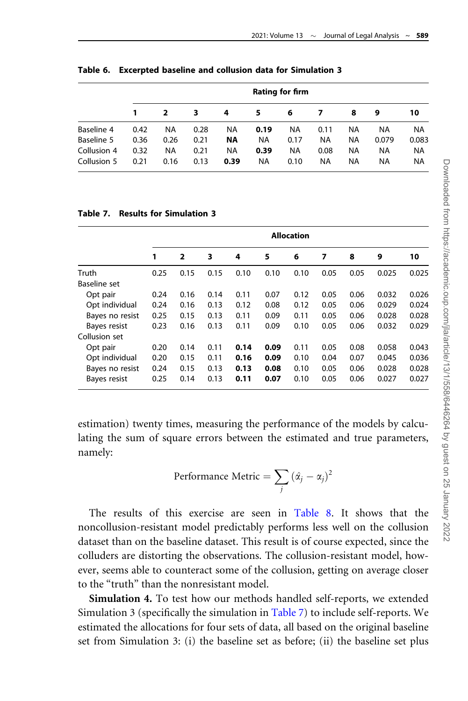|             | <b>Rating for firm</b> |           |      |           |           |           |           |    |           |           |
|-------------|------------------------|-----------|------|-----------|-----------|-----------|-----------|----|-----------|-----------|
|             |                        |           | 3    | 4         | 5         | 6         |           | 8  | 9         | 10        |
| Baseline 4  | 0.42                   | <b>NA</b> | 0.28 | <b>NA</b> | 0.19      | NA        | 0.11      | ΝA | ΝA        | <b>NA</b> |
| Baseline 5  | 0.36                   | 0.26      | 0.21 | <b>NA</b> | <b>NA</b> | 0.17      | <b>NA</b> | NA | 0.079     | 0.083     |
| Collusion 4 | 0.32                   | <b>NA</b> | 0.21 | <b>NA</b> | 0.39      | <b>NA</b> | 0.08      | NA | <b>NA</b> | <b>NA</b> |
| Collusion 5 | 0.21                   | 0.16      | 0.13 | 0.39      | <b>NA</b> | 0.10      | <b>NA</b> | NA | NA        | <b>NA</b> |

<span id="page-31-0"></span>Table 6. Excerpted baseline and collusion data for Simulation 3

### Table 7. Results for Simulation 3

|                 | <b>Allocation</b> |                         |      |      |      |      |      |      |       |       |
|-----------------|-------------------|-------------------------|------|------|------|------|------|------|-------|-------|
|                 | 1                 | $\overline{\mathbf{2}}$ | 3    | 4    | 5    | 6    | 7    | 8    | 9     | 10    |
| Truth           | 0.25              | 0.15                    | 0.15 | 0.10 | 0.10 | 0.10 | 0.05 | 0.05 | 0.025 | 0.025 |
| Baseline set    |                   |                         |      |      |      |      |      |      |       |       |
| Opt pair        | 0.24              | 0.16                    | 0.14 | 0.11 | 0.07 | 0.12 | 0.05 | 0.06 | 0.032 | 0.026 |
| Opt individual  | 0.24              | 0.16                    | 0.13 | 0.12 | 0.08 | 0.12 | 0.05 | 0.06 | 0.029 | 0.024 |
| Bayes no resist | 0.25              | 0.15                    | 0.13 | 0.11 | 0.09 | 0.11 | 0.05 | 0.06 | 0.028 | 0.028 |
| Bayes resist    | 0.23              | 0.16                    | 0.13 | 0.11 | 0.09 | 0.10 | 0.05 | 0.06 | 0.032 | 0.029 |
| Collusion set   |                   |                         |      |      |      |      |      |      |       |       |
| Opt pair        | 0.20              | 0.14                    | 0.11 | 0.14 | 0.09 | 0.11 | 0.05 | 0.08 | 0.058 | 0.043 |
| Opt individual  | 0.20              | 0.15                    | 0.11 | 0.16 | 0.09 | 0.10 | 0.04 | 0.07 | 0.045 | 0.036 |
| Bayes no resist | 0.24              | 0.15                    | 0.13 | 0.13 | 0.08 | 0.10 | 0.05 | 0.06 | 0.028 | 0.028 |
| Bayes resist    | 0.25              | 0.14                    | 0.13 | 0.11 | 0.07 | 0.10 | 0.05 | 0.06 | 0.027 | 0.027 |

estimation) twenty times, measuring the performance of the models by calculating the sum of square errors between the estimated and true parameters, namely:

Performance Metric = 
$$
\sum_{j} (\hat{\alpha}_j - \alpha_j)^2
$$

The results of this exercise are seen in [Table 8](#page-32-0). It shows that the noncollusion-resistant model predictably performs less well on the collusion dataset than on the baseline dataset. This result is of course expected, since the colluders are distorting the observations. The collusion-resistant model, however, seems able to counteract some of the collusion, getting on average closer to the "truth" than the nonresistant model.

Simulation 4. To test how our methods handled self-reports, we extended Simulation 3 (specifically the simulation in Table 7) to include self-reports. We estimated the allocations for four sets of data, all based on the original baseline set from Simulation 3: (i) the baseline set as before; (ii) the baseline set plus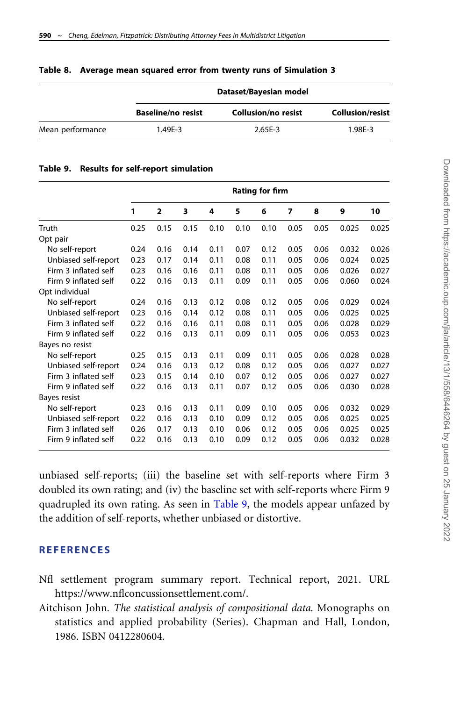|                  | Dataset/Bayesian model    |                            |                         |  |  |  |  |  |
|------------------|---------------------------|----------------------------|-------------------------|--|--|--|--|--|
|                  | <b>Baseline/no resist</b> | <b>Collusion/no resist</b> | <b>Collusion/resist</b> |  |  |  |  |  |
| Mean performance | 1.49E-3                   | $2.65E - 3$                | 1.98E-3                 |  |  |  |  |  |

#### <span id="page-32-0"></span>Table 8. Average mean squared error from twenty runs of Simulation 3

|  |  |  |  | Table 9. Results for self-report simulation |
|--|--|--|--|---------------------------------------------|
|--|--|--|--|---------------------------------------------|

|                      | <b>Rating for firm</b> |                         |      |      |      |      |      |      |       |       |
|----------------------|------------------------|-------------------------|------|------|------|------|------|------|-------|-------|
|                      | 1                      | $\overline{\mathbf{2}}$ | 3    | 4    | 5    | 6    | 7    | 8    | 9     | 10    |
| Truth                | 0.25                   | 0.15                    | 0.15 | 0.10 | 0.10 | 0.10 | 0.05 | 0.05 | 0.025 | 0.025 |
| Opt pair             |                        |                         |      |      |      |      |      |      |       |       |
| No self-report       | 0.24                   | 0.16                    | 0.14 | 0.11 | 0.07 | 0.12 | 0.05 | 0.06 | 0.032 | 0.026 |
| Unbiased self-report | 0.23                   | 0.17                    | 0.14 | 0.11 | 0.08 | 0.11 | 0.05 | 0.06 | 0.024 | 0.025 |
| Firm 3 inflated self | 0.23                   | 0.16                    | 0.16 | 0.11 | 0.08 | 0.11 | 0.05 | 0.06 | 0.026 | 0.027 |
| Firm 9 inflated self | 0.22                   | 0.16                    | 0.13 | 0.11 | 0.09 | 0.11 | 0.05 | 0.06 | 0.060 | 0.024 |
| Opt individual       |                        |                         |      |      |      |      |      |      |       |       |
| No self-report       | 0.24                   | 0.16                    | 0.13 | 0.12 | 0.08 | 0.12 | 0.05 | 0.06 | 0.029 | 0.024 |
| Unbiased self-report | 0.23                   | 0.16                    | 0.14 | 0.12 | 0.08 | 0.11 | 0.05 | 0.06 | 0.025 | 0.025 |
| Firm 3 inflated self | 0.22                   | 0.16                    | 0.16 | 0.11 | 0.08 | 0.11 | 0.05 | 0.06 | 0.028 | 0.029 |
| Firm 9 inflated self | 0.22                   | 0.16                    | 0.13 | 0.11 | 0.09 | 0.11 | 0.05 | 0.06 | 0.053 | 0.023 |
| Bayes no resist      |                        |                         |      |      |      |      |      |      |       |       |
| No self-report       | 0.25                   | 0.15                    | 0.13 | 0.11 | 0.09 | 0.11 | 0.05 | 0.06 | 0.028 | 0.028 |
| Unbiased self-report | 0.24                   | 0.16                    | 0.13 | 0.12 | 0.08 | 0.12 | 0.05 | 0.06 | 0.027 | 0.027 |
| Firm 3 inflated self | 0.23                   | 0.15                    | 0.14 | 0.10 | 0.07 | 0.12 | 0.05 | 0.06 | 0.027 | 0.027 |
| Firm 9 inflated self | 0.22                   | 0.16                    | 0.13 | 0.11 | 0.07 | 0.12 | 0.05 | 0.06 | 0.030 | 0.028 |
| Bayes resist         |                        |                         |      |      |      |      |      |      |       |       |
| No self-report       | 0.23                   | 0.16                    | 0.13 | 0.11 | 0.09 | 0.10 | 0.05 | 0.06 | 0.032 | 0.029 |
| Unbiased self-report | 0.22                   | 0.16                    | 0.13 | 0.10 | 0.09 | 0.12 | 0.05 | 0.06 | 0.025 | 0.025 |
| Firm 3 inflated self | 0.26                   | 0.17                    | 0.13 | 0.10 | 0.06 | 0.12 | 0.05 | 0.06 | 0.025 | 0.025 |
| Firm 9 inflated self | 0.22                   | 0.16                    | 0.13 | 0.10 | 0.09 | 0.12 | 0.05 | 0.06 | 0.032 | 0.028 |

unbiased self-reports; (iii) the baseline set with self-reports where Firm 3 doubled its own rating; and (iv) the baseline set with self-reports where Firm 9 quadrupled its own rating. As seen in Table 9, the models appear unfazed by the addition of self-reports, whether unbiased or distortive.

### REFERENCES

- Nfl settlement program summary report. Technical report, 2021. URL [https://www.nflconcussionsettlement.com/.](https://www.nflconcussionsettlement.com/)
- Aitchison John. The statistical analysis of compositional data. Monographs on statistics and applied probability (Series). Chapman and Hall, London, 1986. ISBN 0412280604.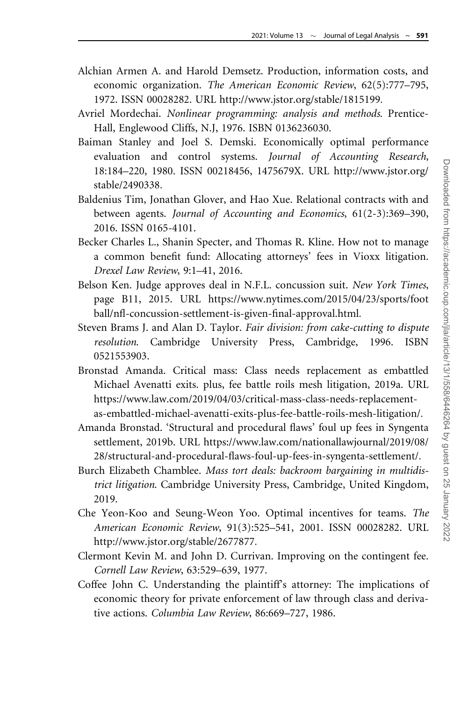- <span id="page-33-0"></span>Alchian Armen A. and Harold Demsetz. Production, information costs, and economic organization. The American Economic Review, 62(5):777–795, 1972. ISSN 00028282. URL [http://www.jstor.org/stable/1815199.](http://www.jstor.org/stable/1815199)
- Avriel Mordechai. Nonlinear programming: analysis and methods. Prentice-Hall, Englewood Cliffs, N.J, 1976. ISBN 0136236030.
- Baiman Stanley and Joel S. Demski. Economically optimal performance evaluation and control systems. Journal of Accounting Research, 18:184–220, 1980. ISSN 00218456, 1475679X. URL [http://www.jstor.org/](http://www.jstor.org/stable/2490338) [stable/2490338](http://www.jstor.org/stable/2490338).
- Baldenius Tim, Jonathan Glover, and Hao Xue. Relational contracts with and between agents. Journal of Accounting and Economics, 61(2-3):369–390, 2016. ISSN 0165-4101.
- Becker Charles L., Shanin Specter, and Thomas R. Kline. How not to manage a common benefit fund: Allocating attorneys' fees in Vioxx litigation. Drexel Law Review, 9:1–41, 2016.
- Belson Ken. Judge approves deal in N.F.L. concussion suit. New York Times, page B11, 2015. URL [https://www.nytimes.com/2015/04/23/sports/foot](https://www.nytimes.com/2015/04/23/sports/football/nfl-concussion-settlement-is-given-final-approval.html) [ball/nfl-concussion-settlement-is-given-final-approval.html](https://www.nytimes.com/2015/04/23/sports/football/nfl-concussion-settlement-is-given-final-approval.html).
- Steven Brams J. and Alan D. Taylor. Fair division: from cake-cutting to dispute resolution. Cambridge University Press, Cambridge, 1996. ISBN 0521553903.
- Bronstad Amanda. Critical mass: Class needs replacement as embattled Michael Avenatti exits. plus, fee battle roils mesh litigation, 2019a. URL [https://www.law.com/2019/04/03/critical-mass-class-needs-replacement](https://www.law.com/2019/04/03/critical-mass-class-needs-replacement-as-embattled-michael-avenatti-exits-plus-fee-battle-roils-mesh-litigation/)[as-embattled-michael-avenatti-exits-plus-fee-battle-roils-mesh-litigation/.](https://www.law.com/2019/04/03/critical-mass-class-needs-replacement-as-embattled-michael-avenatti-exits-plus-fee-battle-roils-mesh-litigation/)
- Amanda Bronstad. 'Structural and procedural flaws' foul up fees in Syngenta settlement, 2019b. URL [https://www.law.com/nationallawjournal/2019/08/](https://www.law.com/nationallawjournal/2019/08/28/structural-and-procedural-flaws-foul-up-fees-in-syngenta-settlement/) [28/structural-and-procedural-flaws-foul-up-fees-in-syngenta-settlement/.](https://www.law.com/nationallawjournal/2019/08/28/structural-and-procedural-flaws-foul-up-fees-in-syngenta-settlement/)
- Burch Elizabeth Chamblee. Mass tort deals: backroom bargaining in multidistrict litigation. Cambridge University Press, Cambridge, United Kingdom, 2019.
- Che Yeon-Koo and Seung-Weon Yoo. Optimal incentives for teams. The American Economic Review, 91(3):525–541, 2001. ISSN 00028282. URL [http://www.jstor.org/stable/2677877.](http://www.jstor.org/stable/2677877)
- Clermont Kevin M. and John D. Currivan. Improving on the contingent fee. Cornell Law Review, 63:529–639, 1977.
- Coffee John C. Understanding the plaintiff's attorney: The implications of economic theory for private enforcement of law through class and derivative actions. Columbia Law Review, 86:669–727, 1986.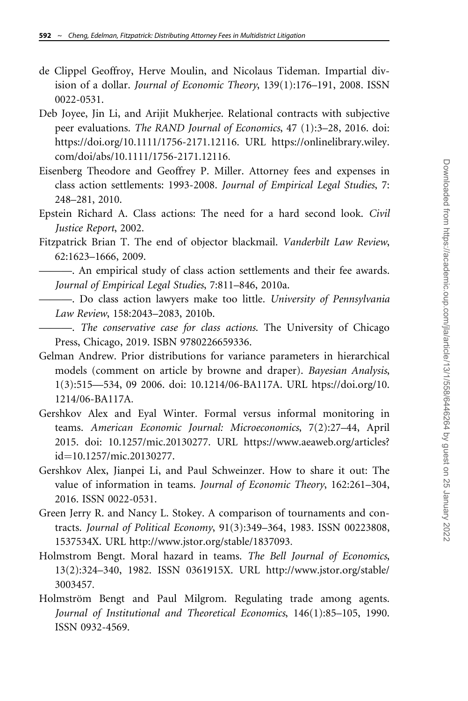- <span id="page-34-0"></span>de Clippel Geoffroy, Herve Moulin, and Nicolaus Tideman. Impartial division of a dollar. Journal of Economic Theory, 139(1):176–191, 2008. ISSN 0022-0531.
- Deb Joyee, Jin Li, and Arijit Mukherjee. Relational contracts with subjective peer evaluations. The RAND Journal of Economics, 47 (1):3–28, 2016. doi: https://doi.org/10.1111/1756-2171.12116. URL [https://onlinelibrary.wiley.](https://onlinelibrary.wiley.com/doi/abs/10.1111/1756-2171.12116) [com/doi/abs/10.1111/1756-2171.12116.](https://onlinelibrary.wiley.com/doi/abs/10.1111/1756-2171.12116)
- Eisenberg Theodore and Geoffrey P. Miller. Attorney fees and expenses in class action settlements: 1993-2008. Journal of Empirical Legal Studies, 7: 248–281, 2010.
- Epstein Richard A. Class actions: The need for a hard second look. Civil Justice Report, 2002.
- Fitzpatrick Brian T. The end of objector blackmail. Vanderbilt Law Review, 62:1623–1666, 2009.

———. An empirical study of class action settlements and their fee awards. Journal of Empirical Legal Studies, 7:811–846, 2010a.

- ———. Do class action lawyers make too little. University of Pennsylvania Law Review, 158:2043–2083, 2010b.
- ———. The conservative case for class actions. The University of Chicago Press, Chicago, 2019. ISBN 9780226659336.
- Gelman Andrew. Prior distributions for variance parameters in hierarchical models (comment on article by browne and draper). Bayesian Analysis, 1(3):515—534, 09 2006. doi: 10.1214/06-BA117A. URL [htps://doi.org/10.](http://htps://doi.org/10.1214/06-BA117A) [1214/06-BA117A.](http://htps://doi.org/10.1214/06-BA117A)
- Gershkov Alex and Eyal Winter. Formal versus informal monitoring in teams. American Economic Journal: Microeconomics, 7(2):27–44, April 2015. doi: 10.1257/mic.20130277. URL https://www.aeaweb.org/articles? id=10.1257/mic.20130277.
- Gershkov Alex, Jianpei Li, and Paul Schweinzer. How to share it out: The value of information in teams. Journal of Economic Theory, 162:261–304, 2016. ISSN 0022-0531.
- Green Jerry R. and Nancy L. Stokey. A comparison of tournaments and contracts. Journal of Political Economy, 91(3):349–364, 1983. ISSN 00223808, 1537534X. URL<http://www.jstor.org/stable/1837093>.
- Holmstrom Bengt. Moral hazard in teams. The Bell Journal of Economics, 13(2):324–340, 1982. ISSN 0361915X. URL [http://www.jstor.org/stable/](http://www.jstor.org/stable/3003457) [3003457.](http://www.jstor.org/stable/3003457)
- Holmström Bengt and Paul Milgrom. Regulating trade among agents. Journal of Institutional and Theoretical Economics, 146(1):85–105, 1990. ISSN 0932-4569.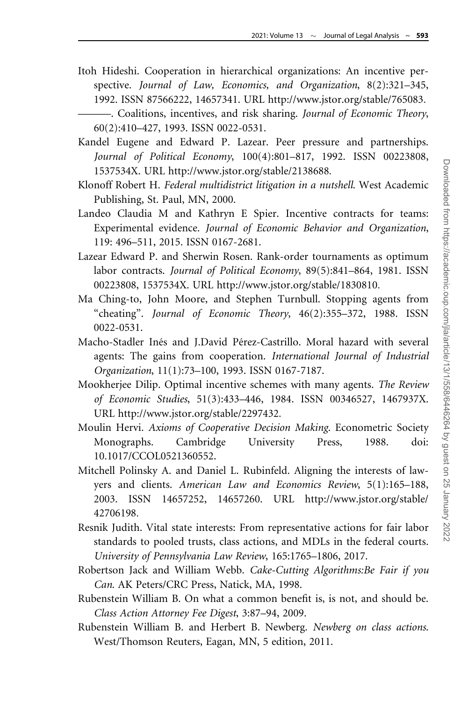- <span id="page-35-0"></span>Itoh Hideshi. Cooperation in hierarchical organizations: An incentive perspective. Journal of Law, Economics, and Organization, 8(2):321-345, 1992. ISSN 87566222, 14657341. URL<http://www.jstor.org/stable/765083>.
	- ———. Coalitions, incentives, and risk sharing. Journal of Economic Theory, 60(2):410–427, 1993. ISSN 0022-0531.
- Kandel Eugene and Edward P. Lazear. Peer pressure and partnerships. Journal of Political Economy, 100(4):801–817, 1992. ISSN 00223808, 1537534X. URL<http://www.jstor.org/stable/2138688>.
- Klonoff Robert H. Federal multidistrict litigation in a nutshell. West Academic Publishing, St. Paul, MN, 2000.
- Landeo Claudia M and Kathryn E Spier. Incentive contracts for teams: Experimental evidence. Journal of Economic Behavior and Organization, 119: 496–511, 2015. ISSN 0167-2681.
- Lazear Edward P. and Sherwin Rosen. Rank-order tournaments as optimum labor contracts. Journal of Political Economy, 89(5):841–864, 1981. ISSN 00223808, 1537534X. URL [http://www.jstor.org/stable/1830810.](http://www.jstor.org/stable/1830810)
- Ma Ching-to, John Moore, and Stephen Turnbull. Stopping agents from "cheating". Journal of Economic Theory, 46(2):355–372, 1988. ISSN 0022-0531.
- Macho-Stadler Inés and J.David Pérez-Castrillo. Moral hazard with several agents: The gains from cooperation. International Journal of Industrial Organization, 11(1):73–100, 1993. ISSN 0167-7187.
- Mookherjee Dilip. Optimal incentive schemes with many agents. The Review of Economic Studies, 51(3):433–446, 1984. ISSN 00346527, 1467937X. URL [http://www.jstor.org/stable/2297432.](http://www.jstor.org/stable/2297432)
- Moulin Hervi. Axioms of Cooperative Decision Making. Econometric Society Monographs. Cambridge University Press, 1988. doi: 10.1017/CCOL0521360552.
- Mitchell Polinsky A. and Daniel L. Rubinfeld. Aligning the interests of lawyers and clients. American Law and Economics Review, 5(1):165–188, 2003. ISSN 14657252, 14657260. URL [http://www.jstor.org/stable/](http://www.jstor.org/stable/42706198) [42706198.](http://www.jstor.org/stable/42706198)
- Resnik Judith. Vital state interests: From representative actions for fair labor standards to pooled trusts, class actions, and MDLs in the federal courts. University of Pennsylvania Law Review, 165:1765–1806, 2017.
- Robertson Jack and William Webb. Cake-Cutting Algorithms:Be Fair if you Can. AK Peters/CRC Press, Natick, MA, 1998.
- Rubenstein William B. On what a common benefit is, is not, and should be. Class Action Attorney Fee Digest, 3:87–94, 2009.
- Rubenstein William B. and Herbert B. Newberg. Newberg on class actions. West/Thomson Reuters, Eagan, MN, 5 edition, 2011.